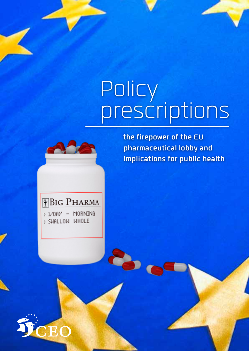# Policy prescriptions



**the firepower of the EU pharmaceutical lobby and implications for public health**



> 1/DAY - MORNING > SWALLOW WHOLE

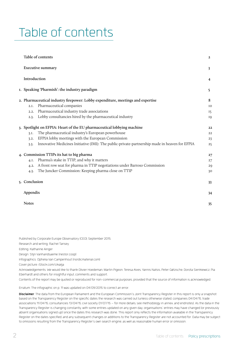# Table of contents

| Table of contents                                                                                      | $\mathbf{2}$ |
|--------------------------------------------------------------------------------------------------------|--------------|
| <b>Executive summary</b>                                                                               | 3            |
| Introduction                                                                                           | 4            |
| I. Speaking 'Pharmish': the industry paradigm                                                          | 5            |
| 2. Pharmaceutical industry firepower: Lobby expenditure, meetings and expertise                        | 8            |
| Pharmaceutical companies<br>2.I.                                                                       | IO           |
| Pharmaceutical industry trade associations<br>2.2.                                                     | 15           |
| Lobby consultancies hired by the pharmaceutical industry<br>2.3.                                       | <b>19</b>    |
| 3. Spotlight on EFPIA: Heart of the EU pharmaceutical lobbying machine                                 | 22           |
| The pharmaceutical industry's European powerhouse<br>3.I.                                              | 22           |
| EFPIA lobby meetings with the European Commission<br>3.2.                                              | 23           |
| Innovative Medicines Initiative (IMI): The public-private-partnership made in heaven for EFPIA<br>3.3. | 25           |
| 4. Commission TTIPs its hat to big pharma                                                              | 27           |
| Pharma's stake in TTIP, and why it matters<br>4.I.                                                     | 27           |
| A front row seat for pharma in TTIP negotiations under Barroso Commission<br>4.2.                      | 29           |
| The Juncker Commission: Keeping pharma close on TTIP<br>4.3.                                           | 30           |
| 5. Conclusion                                                                                          | 33           |
| Appendix                                                                                               | 34           |
| <b>Notes</b>                                                                                           | 35           |

Published by Corporate Europe Observatory (CEO), September 2015.

Research and writing: Rachel Tansey

Editing: Katharine Ainger

Design: Stijn Vanhandsaeme (nestor.coop)

Infographics: Ophelia Van Campenhout (nordicmaterial.com)

Cover picture: iStock.com/cikailja

Acknowledgements: We would like to thank Olivier Hoedeman, Martin Pigeon, Teresa Alves, Yannis Natsis, Peter Gøtzsche, Dorota Sienkiewicz, Pia Eberhardt and others for insightful input, comments and support.

Contents of the report may be quoted or reproduced for non-commercial purposes, provided that the source of information is acknowledged.

Erratum: The infographic on p. 11 was updated on 04/09/2015 to correct an error.

**Disclaimer**: The data from the European Parliament and the European Commission's Joint Transparency Register in this report is only a snapshot based on the Transparency Register on the specific dates the research was carried out (unless otherwise stated, companies 04/04/15, trade associations 11/04/15, consultancies 13/04/15, civil society 01/07/15 – for more details, see methodology in annex, and endnotes). As the data in the Transparency Register is changing constantly, with some entries updated on any given day, organisations' entries may have changed (or previously absent organisations signed up) since the dates this research was done. This report only reflects the information available in the Transparency Register on the dates specified, and any subsequent changes or additions to the Transparency Register are not accounted for. Data may be subject to omissions resulting from the Transparency Register's own search engine, as well as reasonable human error or omission.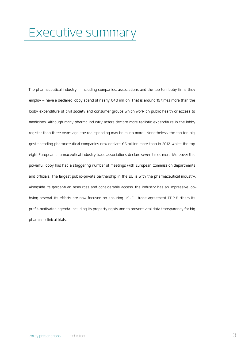# <span id="page-2-0"></span>Executive summary

The pharmaceutical industry – including companies, associations and the top ten lobby firms they employ – have a declared lobby spend of nearly €40 million. That is around 15 times more than the lobby expenditure of civil society and consumer groups which work on public health or access to medicines. Although many pharma industry actors declare more realistic expenditure in the lobby register than three years ago, the real spending may be much more. Nonetheless, the top ten biggest spending pharmaceutical companies now declare €6 million more than in 2012, whilst the top eight European pharmaceutical industry trade associations declare seven times more. Moreover this powerful lobby has had a staggering number of meetings with European Commission departments and officials. The largest public-private partnership in the EU is with the pharmaceutical industry. Alongside its gargantuan resources and considerable access, the industry has an impressive lobbying arsenal. Its efforts are now focused on ensuring US-EU trade agreement TTIP furthers its profit-motivated agenda, including its property rights and to prevent vital data transparency for big pharma's clinical trials.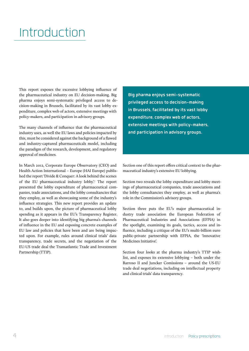# <span id="page-3-0"></span>**Introduction**

This report exposes the excessive lobbying influence of the pharmaceutical industry on EU decision-making. Big pharma enjoys semi-systematic privileged access to decision-making in Brussels, facilitated by its vast lobby expenditure, complex web of actors, extensive meetings with policy-makers, and participation in advisory groups.

The many channels of influence that the pharmaceutical industry uses, as well the EU laws and policies impacted by this, must be considered against the background of a flawed and industry-captured pharmaceuticals model, including the paradigm of the research, development, and regulatory approval of medicines.

In March 2012, Corporate Europe Observatory (CEO) and Health Action International – Europe (HAI Europe) published the report 'Divide & Conquer: A look behind the scenes of the EU pharmaceutical industry lobby'.<sup>[1](#page-34-1)</sup> The report presented the lobby expenditure of pharmaceutical companies, trade associations, and the lobby consultancies that they employ, as well as showcasing some of the industry's influence strategies. This new report provides an update to, and builds upon, the picture of pharmaceutical lobby spending as it appears in the EU's Transparency Register. It also goes deeper into identifying big pharma's channels of influence in the EU and exposing concrete examples of EU law and policies that have been and are being impacted upon. For example, rules around clinical trials' data transparency, trade secrets, and the negotiation of the EU-US trade deal the Transatlantic Trade and Investment Partnership (TTIP).

**Big pharma enjoys semi-systematic privileged access to decision-making in Brussels, facilitated by its vast lobby expenditure, complex web of actors, extensive meetings with policy-makers, and participation in advisory groups.**

Section one of this report offers critical context to the pharmaceutical industry's extensive EU lobbying.

Section two reveals the lobby expenditure and lobby meetings of pharmaceutical companies, trade associations and the lobby consultancies they employ, as well as pharma's role in the Commission's advisory groups.

Section three puts the EU's major pharmaceutical industry trade association the European Federation of Pharmaceutical Industries and Associations (EFPIA) in the spotlight, examining its goals, tactics, access and influence, including a critique of the EU's multi-billion euro public-private partnership with EFPIA, the 'Innovative Medicines Initiative'.

Section four looks at the pharma industry's TTIP wishlist, and exposes its extensive lobbying – both under the Barroso II and Juncker Comissions – around the US-EU trade deal negotiations, including on intellectual property and clinical trials' data transparency.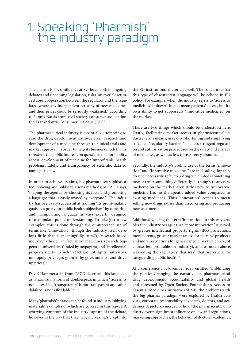# <span id="page-4-1"></span><span id="page-4-0"></span>1. Speaking 'Pharmish': the industry paradigm

The pharma lobby's influence at EU-level, both in ongoing debates and upcoming legislation, risks "an ever closer incestuous cooperation between the regulator and the regulated where any independent scrutiny of new medicines and their prices could be seriously weakened," according to Yannis Natsis from civil society consumer association the TransAtlantic Consumer Dialogue (TACD).<sup>[2](#page-34-2)</sup>

The pharmaceutical industry is essentially attempting to ease the drug development pathway from research and development of a medicine through to clinical trials and market approval, in order to help its business model. This threatens the public interest, on questions of affordability, access, development of medicine for 'unprofitable' health problems, safety, and transparency of scientific data to name just a few.

In order to achieve its aims, big pharma uses sophisticated lobbying and public relations methods; as TACD says, "shaping the agenda by choosing its facts and promoting a language that is easily owned by everyone."[3](#page-34-3) The industry has been very successful at framing "its profit-making goals as a proxy for public health objectives" by capturing and manipulating language in ways expertly designed to manipulate public understanding. To take just a few examples, this is done through the omnipresent use of terms like "innovation" (though the industry itself develops little that is meaningfully "new"), "research-based industry" (though in fact, most medicines research happens at universities funded by taxpayers), and "intellectual property rights" (which in fact are not rights, but rather, monopoly privileges granted by governments, and drive up prices).4

David Hammerstein from TACD describes this language as 'Pharmish', a form of doublespeak in which "'access' is not accessible, 'transparency' is not transparent and 'affordability' is not affordable"[.5](#page-34-4)

Many 'pharmish' phrases can be found in industry lobbying materials, examples of which are covered in this report. A worrying symptom of the industry capture of the debate, however, is the way that they have increasingly crept into

the EU institutions' rhetoric as well. The concern is that this type of obscurantist language will be echoed in EU policy. For example, when the industry refers to "access to medicines" it doesn't in fact mean patients' access, but its own ability to get supposedly "innovative medicines" on the market.

There are two things which should be understood here. Firstly, facilitating market access in pharmaceutical industry terms means, in reality, shortening and simplifying so-called "regulatory barriers" – ie less stringent regulation and authorization procedures on the safety and efficacy of medicines, as well as less transparency about it.

Secondly, the industry's prolific use of the terms "innovation" and "innovative medicines" are misleading, for they do not necessarily refer to a drug which does something new or treats something differently, but simply to any new medicine on the market, even if this new or "innovative" medicine has no therapeutic added value compared to existing medicines. Thus "innovation" comes to mean selling new drugs rather than discovering and producing new treatments.

Additionally, using the term 'innovation' in this way enables the industry to argue that "more innovation" is served by greater intellectual property rights (IPR) protections, more patents, greater market access for its 'new' products and more restrictions for generic medicines (which are, of course, less profitable for industry), and, as noted above, weakening the regulatory "barriers" that are crucial to safeguarding public health.<sup>[6](#page-34-5)</sup>

At a conference in November 2013, entitled 'Unblinding the public: Changing the narrative on pharmaceutical drug development, accountability and global health' and convened by Open Society Foundation's Access to Essential Medicines Initiative (AEMI), the problems with the big pharma paradigm were explored by health activists, corporate responsibility advocates, doctors, and academics. A picture emerged of how "the pharmaceutical industry exerts significant influence on law and regulations, marketing approaches, the behavior of doctors, academics,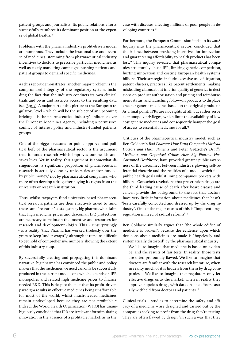patient groups and journalists. Its public relations efforts successfully reinforce its dominant position at the expense of global health."7

Problems with the pharma industry's profit-driven model are numerous. They include the irrational use and overuse of medicines, stemming from pharmaceutical industry incentives to doctors to prescribe particular medicines, as well as costly marketing campaigns pushing patients and patient groups to demand specific medicines.

As this report demonstrates, another major problem is the compromised integrity of the regulatory system, including the fact that the industry conducts its own clinical trials and owns and restricts access to the resulting data (see [Box 5\)](#page-20-0). A major part of this picture at the European regulatory level – which will be the subject of an upcoming briefing – is the pharmaceutical industry's influence over the European Medicines Agency, including a permissive conflict of interest policy and industry-funded patients groups.

One of the biggest reasons for public approval and political heft of the pharmaceutical sector is the argument that it funds research which improves our health and saves lives. Yet in reality, this argument is somewhat disingenuous; a significant proportion of pharmaceutical research is actually done by universities and/or funded by public money,<sup>[8](#page-34-6)</sup> not by pharmaceutical companies, who more often develop a drug after buying its rights from the university or research institution.

Thus, whilst taxpayers fund university-based pharmaceutical research, patients are then effectively asked to fund these same "research" costs again by big pharma, who claim that high medicine prices and draconian IPR protections are necessary to maintain the incentive and resources for research and development (R&D). This – unsurprisingly – is a reality "that Pharma has worked tirelessly over the years to keep 'under wraps'"[,9](#page-34-7) although it remains difficult to get hold of comprehensive numbers showing the extent of this industry coup.

By successfully creating and propagating this dominant narrative, big pharma has convinced the public and policy makers that the medicines we need can only be successfully produced in the current model, one which depends on IPR monopolies and related high medicine prices to finance needed R&D. This is despite the fact that its profit-driven paradigm results in effective medicines being unaffordable for most of the world, whilst much-needed medicines remain undeveloped because they are not profitable.[10](#page-34-8) Indeed, the World Health Organization (WHO) has unambiguously concluded that IPR are irrelevant for stimulating innovation in the absence of a profitable market, as in the

case with diseases affecting millions of poor people in developing countries.<sup>11</sup>

Furthermore, the European Commission itself, in its 2008 Inquiry into the pharmaceutical sector, concluded that the balance between providing incentives for innovation and guaranteeing affordability to health products has been lost.<sup>12</sup> This inquiry revealed that pharmaceutical companies structurally abuse IPR, limiting generic competition, hurting innovation and costing European health systems billions. Their strategies include excessive use of litigation, patent clusters, practices like patent settlements, making misleading claims about inferior quality of generics in decisions on product authorisation and pricing and reimbursement status, and launching follow-on products to displace cheaper generic medicines based on the original product.<sup>13</sup> As a final point, IPRs are not rights at all, but rather serve as monopoly privileges, which limit the availability of low cost generic medicines and consequently hamper the goal of access to essential medicines for all[.14](#page-34-11)

Critiques of the pharmaceutical industry model, such as Ben Goldacre's *Bad Pharma: How Drug Companies Mislead Doctors and Harm Patients* and Peter Gøtzsche's *Deadly Medicines and Organised Crime: How Big Pharma Has Corrupted Healthcare*, have provided greater public awareness of the disconnect between industry's glowing self-referential rhetoric and the realities of a model which fails public health goals whilst lining companies' pockets with billions. Gøtzsche's revelations that prescription drugs are the third leading cause of death after heart disease and cancer, provide the background to the fact that doctors have very little information about medicines that hasn't "been carefully concocted and dressed up by the drug industry". One of the major causes of this is "impotent drug regulation in need of radical reforms"[.15](#page-34-12)

Ben Goldacre similarly argues that "the whole edifice of medicine is broken", because the evidence upon which decisions about medicines are made is "hopelessly and systematically distorted" by the pharmaceutical industry:

We like to imagine that medicine is based on evidence, and the results of fair tests. In reality, those tests are often profoundly flawed. We like to imagine that doctors are familiar with the research literature, when in reality much of it is hidden from them by drug companies.... We like to imagine that regulators only let effective drugs onto the market, when in reality they approve hopeless drugs, with data on side effects casu-ally withheld from doctors and patients.<sup>[16](#page-34-13)</sup>

Clinical trials – studies to determine the safety and efficacy of a medicine – are designed and carried out by the companies seeking to profit from the drug they're testing. They are often flawed by design "in such a way that they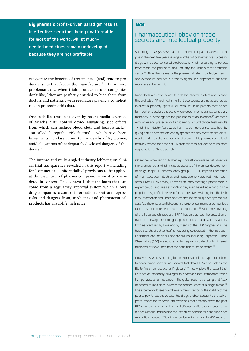**Big pharma's profit-driven paradigm results in effective medicines being unaffordable for most of the world, whilst muchneeded medicines remain undeveloped because they are not profitable**

exaggerate the benefits of treatments... [and] tend to produce results that favour the manufacturer".[17](#page-34-14) Even more problematically, when trials produce results companies don't like, "they are perfectly entitled to hide them from doctors and patients", with regulators playing a complicit role in protecting this data.

One such illustration is given by recent media coverage of Merck's birth control device NuvaRing, side effects from which can include blood clots and heart attacks<sup>18</sup> – so-called "acceptable risk factors" – which have been linked in a US class action to the deaths of 83 women, amid allegations of inadequately disclosed dangers of the device.<sup>[19](#page-34-16)</sup>

The intense and multi-angled industry lobbying on clinical trial transparency revealed in this report – including for "commercial confidentiality" provisions to be applied at the discretion of pharma companies – must be considered in context. This context is that the harm that can come from a regulatory approval system which allows drug companies to control information about, and repress risks and dangers from, medicines and pharmaceutical products has a real-life high price.

#### BOX 1

## <span id="page-6-0"></span>Pharmaceutical lobby on trade secrets and intellectual property

According to Spiegel Online, a "record number of patents are set to expire in the next few years. A large number of cost-effective successor drugs will replace so-called blockbusters, which, according to Forbes, have made the pharmaceutical industry the world's most profitable sector.<sup>"[20](#page-34-17)</sup> Thus, the stakes for the pharma industry to protect, entrench and expand its intellectual property rights (IPR)-dependent business model are extremely high.

Trade deals may offer a way to help big pharma protect and expand this profitable IPR regime. In the EU, trade secrets are not classified as intellectual property rights (IPRs), because unlike patents, they do not form part of a social contract ie where governments grant a temporary monopoly in exchange for the publication of an invention.<sup>[21](#page-34-18)</sup> Yet faced with increasing pressure for transparency around clinical trials results – which the industry fears would harm its commercial interests, both by giving data to competitors and by greater scrutiny over the actual trial results and the risks and benefits of a drug – big pharma seeks to effectively expand the scope of IPR protections to include the much more vague notion of "trade secrets".

When the Commission published a proposal for a trade secrets directive in November 2013, which includes aspects of the clinical development of drugs, major EU pharma lobby group EFPIA (European Federation of Pharmaceutical Industries and Associations) welcomed it with open arms. Given EFPIA's many Commission lobby meetings, prominence in expert groups, etc (see section 3) it may even have had a hand in shaping it. EFPIA justified the need for the directive by stating that the technical information and know-how created in the drug development process "can be of substantial economic value for our member companies... [and must be] protected from misappropriation".<sup>22</sup> Since the unveiling of the trade secrets proposal, EFPIA has also utilised the protection of trade secrets argument to fight against clinical trial data transparency, both as practised by EMA, and by means of the TTIP negotiations. The trade secrets directive itself is now being deliberated in the European Parliament, and many civil society groups, including Corporate Europe Observatory (CEO), are advocating for regulatory data of public interest to be explicitly excluded from the definition of "trade secret".<sup>23</sup>

However, as well as pushing for an expansion of IPR-type protections to cover "trade secrets" and clinical trial data, EFPIA also lobbies the EU to "insist on respect for IP globally".<sup>24</sup> It downplays the extent that IPRs act as monopoly privileges to pharmaceutical companies which hamper access to medicines in the global south, by arguing that "lack of access to medicines is rarely the consequence of a single factor"[.25](#page-34-22) This argument glosses over the very major "factor" of the inability of the poor to pay for expensive patented drugs, and consequently the lack of profit-motive for research into medicines that primarily affect the poor. EFPIA however demands that the EU "ensure affordable access to medicines without undermining the incentives needed for continued pharmaceutical research["26](#page-34-23) ie without undermining its lucrative IPR regime.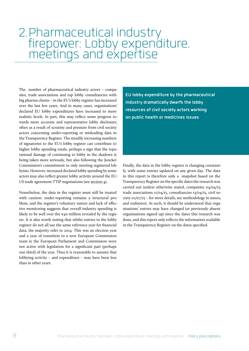# <span id="page-7-1"></span><span id="page-7-0"></span>2. Pharmaceutical industry firepower: Lobby expenditure, meetings and expertise

The number of pharmaceutical industry actors – companies, trade associations and top lobby consultancies with big pharma clients – in the EU's lobby register has increased over the last few years. And in many cases, organisations' declared EU lobby expenditures have increased to more realistic levels. In part, this may reflect some progress towards more accurate and representative lobby disclosure, often as a result of scrutiny and pressure from civil society actors concerning under-reporting or misleading data in the Transparency Register. The steadily increasing numbers of signatories to the EU's lobby register can contribute to higher lobby spending totals, perhaps a sign that the reputational damage of continuing to lobby in the shadows is being taken more seriously, but also following the Juncker Commission's commitment to only meeting registered lobbyists. However, increased declared lobby spending by some actors may also reflect greater lobby activity around the EU-US trade agreement TTIP negotiations (see [section 4\)](#page-26-1).

Nonetheless, the data in the register must still be treated with caution: under-reporting remains a structural problem, and the register's voluntary nature and lack of effective monitoring suggests that overall industry spending is likely to be well over the €40 million revealed by the register. It is also worth noting that whilst entries in the lobby register do not all use the same reference year for financial data, the majority refer to 2014. This was an election year and a year of transition to a new European Commission team ie the European Parliament and Commission were not active with legislation for a significant part (perhaps one third) of the year. Thus it is reasonable to assume that lobbying activity – and expenditure – may have been less than in other years.

**EU lobby expenditure by the pharmaceutical industry dramatically dwarfs the lobby resources of civil society actors working on public health or medicines issues**

Finally, the data in the lobby register is changing constantly, with some entries updated on any given day. The data in this report is therefore only a snapshot based on the Transparency Register on the specific dates the research was carried out (unless otherwise stated, companies 04/04/15, trade associations 11/04/15, consultancies 13/04/15, civil society 01/07/15 – for more details, see methodology in annex, and endnotes). As such, it should be understood that organisations' entries may have changed (or previously absent organisations signed up) since the dates this research was done, and this report only reflects the information available in the Transparency Register on the dates specified.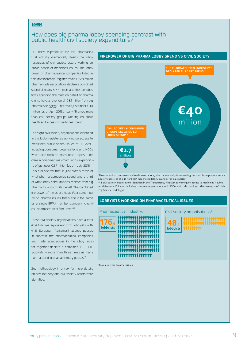#### BOX 2

### <span id="page-8-0"></span>How does big pharma lobby spending contrast with public health civil society expenditure?

EU lobby expenditure by the pharmaceutical industry dramatically dwarfs the lobby resources of civil society actors working on public health or medicines issues. The lobby power of pharmaceutical companies listed in the Transparency Register totals €22.9 million, pharma trade associations declare a combined spend of nearly €7.7 million, and the ten lobby firms spending the most on behalf of pharma clients have a revenue of €8.1 million from big pharma (see below). This totals just under €40 million (as of April 2015), nearly 15 times more than civil society groups working on public health and access to medicines spend.

The eight civil society organisations identified in the lobby register as working on access to medicines/public health issues at EU level – including consumer organisations and NGOs which also work on many other topics – declare a combined maximum lobby expenditure of just over €2.7 million (as of 1 July 2015).<sup>27</sup> This civil society total is just over a tenth of what pharma companies spend, and a third of what lobby consultancies receive from big pharma to lobby on its behalf. The combined fire power of the public health/consumer lobby on pharma issues totals about the same as a single EFPIA member company, chemical-pharmaceutical firm Bayer.<sup>28</sup>

These civil society organisations have a total 48.4 full-time equivalent (FTE) lobbyists, with 44.5 European Parliament access passes. In contrast, the pharmaceutical companies and trade associations in the lobby register together declare a combined 176.5 FTE lobbyists – more than three times as many – with around 113 Parliamentary passes. $^{29}$  $^{29}$  $^{29}$ 

See methodology in annex for more details on how industry and civil society actors were identified.



\*Pharmaceutical companies and trade associations, plus the ten lobby firms earning the most from pharmaceutical industry clients, as of 4-13 April 2015 (see methodology in annex for exact dates)

\*\* 8 civil society organisations identified in the Transparency Register as working on access to medicines / public health issues at EU level, including consumer organisations and NGOs which also work on other issues, as of 1 July 2015 (see methodology)

#### **LOBBYISTS WORKING ON PHARMACEUTICAL ISSUES**

**176,5 lobbyists**  Pharmaceutical industry: Civil society organisations\*:

\*May also work on other issues

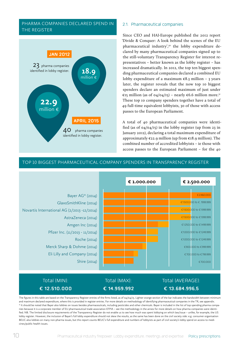#### <span id="page-9-0"></span>PHARMA COMPANIES DECLARED SPEND IN THE REGISTER



#### 2.1. Pharmaceutical companies

Since CEO and HAI-Europe published the 2012 report 'Divide & Conquer: A look behind the scenes of the EU pharmaceutical industry',<sup>[30](#page-35-0)</sup> the lobby expenditure declared by many pharmaceutical companies signed up to the still-voluntary Transparency Register for interest representatives – better known as the lobby register – has increased dramatically. In 2012, the top ten biggest spending pharmaceutical companies declared a combined EU lobby expenditure of a maximum  $\epsilon$ 8.3 million - 3 years later, the register reveals that the now top 10 biggest spenders declare an estimated maximum of just under €15 million (as of 04/04/15) – nearly €6.6 million more.<sup>[31](#page-35-1)</sup> These top 10 company spenders together have a total of 49 full-time equivalent lobbyists, 30 of those with access passes to the European Parliament.

A total of 40 pharmaceutical companies were identified (as of  $04/04/15$ ) in the lobby register (up from 23 in January 2012), declaring a total maximum expenditure of approximately  $\varepsilon$ 22.9 million (up from  $\varepsilon$ 18.9 million). The combined number of accredited lobbyists – ie those with access passes to the European Parliament – for the 40

#### TOP 10 BIGGEST PHARMACEUTICAL COMPANY SPENDERS IN TRANSPARENCY REGISTER



## **€ 14.959.992**

## **€ 13.684.996,5**

The figures in this table are based on the Transparency Register entries of the firms listed, as of 04/04/15. Lighter orange section of the bar indicates the bandwidth between minimum and maximum declared expenditure, where this is provided in register entries. For more details on methodology of identifying pharmaceutical companies in the TR, see appendix. \* It should be noted that Bayer also lobbies on issues besides pharmaceuticals, including pesticides and other chemicals. Bayer is included in the list of top spending pharma companies because it is a corporate member of EU pharmaceutical trade association EFPIA – see the methodology in the annex for more details on how pharma companies were identified. NB. The limited disclosure requirements of the Transparency Register do not enable us to see how much was spent lobbying on which law/issue – unlike, for example, the US lobby register. However, the inclusion of Bayer's full lobby expenditure should not skew the results, as the same has been done on the civil society side: e.g. consumer organisation BEUC also lobbies on many non-pharma issues, but this report counts BEUC's full expenditure and numbers of lobbyists as part of civil society's lobby spend on access to medicines/public health issues.

**€ 12.510.000**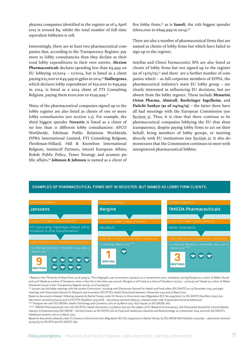pharma companies identified in the register as of 4 April 2015 is around 89, whilst the total number of full time equivalent lobbyists is 108.

Interestingly, there are at least two pharmaceutical companies that, according to the Transparency Register, pay more to lobby consultancies than they declare as their total lobby expenditures in their own entries. **Alexion Pharmaceuticals** declares spending less than €9,999 on EU lobbying 01/2014 – 11/2014, but is listed as a client paying €25,000 to €49,999 to gplus in 2014.[32](#page-35-2) **Stallergenes**, which declares lobby expenditure of €50,000 to €99,999 in 2014, is listed as a 2014 client of FTI Consulting Belgium, paying them €100,000 to €199,999.<sup>33</sup>

Many of the pharmaceutical companies signed up to the lobby register are also listed as clients of one or more lobby consultancies (see section 2.3). For example, the third biggest spender **Novartis** is listed as a client of no less than 11 different lobby consultancies: APCO Worldwide, Edelman Public Relations Worldwide, FIPRA International Limited, FTI Consulting Belgium, Fleishman-Hillard, Hill & Knowlton International Belgium, Instinctif Partners, Interel European Affairs, Rohde Public Policy, Teneo Strategy and acumen public affairs.[34](#page-35-4) **Johnson & Johnson** is named as a client of

five lobby firms,<sup>35</sup> as is **Sanofi**, the 11th biggest spender (€600,000 to €699,999 in 2014).[36](#page-35-6)

There are also a number of pharmaceutical firms that are named as clients of lobby firms but which have failed to sign up to the register.

Astellas and Chiesi Farmaceutici SPA are also listed as clients of lobby firms but not signed up to the register (as of  $13/05/15$ ),<sup>37</sup> and there are a further number of companies which – as full corporate members of EFPIA, the pharmaceutical industry's main EU lobby group – are clearly interested in influencing EU decisions, but are absent from the lobby register. These include **Menarini**, **Orion Pharma**, **Almirall**, **Boehringer Ingelheim**, and **Daiichi Sankyo (as of 04/04/15)** – the latter three have all had meetings with the European Commission (see [Section 3\)](#page-21-1). Thus, it is clear that there continue to be pharmaceutical companies lobbying the EU that shun transparency, despite paying lobby firms to act on their behalf, being members of lobby groups, or meeting directly with EU institutions (see [Section 2](#page-7-1)). It also demonstrates that the Commission continues to meet with unregistered pharmaceutical lobbies.

#### **EXAMPLES OF PHARMACEUTICAL FIRMS NOT IN REGISTER, BUT NAMED AS LOBBY FIRM CLIENTS:**



\* Based on the TR entries of these firms, as of 13/05/15. This infographic was corrected on 04/09/15 as it contained an error, mistakenly naming Norgine as a client of Weber Shandwick and Takeda as a client of Decideum, when in fact this is the other way around. (Norgine is still listed as a client of Decideum (11/2013 - 10/2014) and Takeda as a client of Weber Shandwick (2014) in their Transparency Register entries, as of 04/09/15)."

\*\* Janssen has had lobby meetings with the Juncker Commission, including with Directorate General for Health and Food safety (DG SANTE) on 24 November 2014, and eight meetings with Directorate General for Research and Innovation (DG RTD)'s Health Directorate between 1 November 2014 and 15 March 2015.

Based on documents released following requests by Rachel Tansey under EU Access to Documents laws (Regulation (EC) No 1049/2001), to DG SANTE (GestDem 2015/1729 – documents received 15/04/15) and to DG RTD (GestDem 2015/1628 – documents received 06/05/15, released under code of good administrative behaviour). \*\*\* Norgine met with DG GROW's Health Technology and Cosmetics Unit on 03 March 2015. A2D request to DG GROW, ibid.

\*\*\*\* TAKEDA Pharmaceuticals met with DG RTD's Health directorate 12-13 March 2015 (on the subject of EU Research & Innovation), with Directorate General for Internal Market, Industry, Entrepreneurship (DG GROW – formerly known as DG ENTR) Unit on Food and Healthcare industries and Biotechnology on 4 November 2014, and with DG SANTE's Healthcare Systems unit on 9 March 2015.

Based on documents released under EU Access to Documents laws (Regulation (EC) No 1049/2001) to Rachel Tansey, by DG GROW (Ref GestDem 2015/1652 – documents received 30/04/15), by DG RTD and DG SANTE, ibid.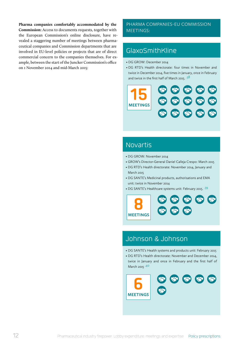**Pharma companies comfortably accommodated by the Commission:** Access to documents requests, together with the European Commission's online disclosure, have revealed a staggering number of meetings between pharmaceutical companies and Commission departments that are involved in EU-level policies or projects that are of direct commercial concern to the companies themselves. For example, between the start of the Juncker Commission's office on 1 November 2014 and mid-March 2015:

#### PHARMA COMPANIES-EU COMMISSION MEETINGS:

## **GlaxoSmithKline**

- DG GROW: December 2014
- DG RTD's Health directorate: four times in November and twice in December 2014, five times in January, once in February and twice in the first half of March 2015.  $3^8$



## Novartis

- DG GROW: November 2014
- GROW's Director-General Daniel Calleja Crespo: March 2015
- DG RTD's Health directorate: November 2014, January and March 2015
- DG SANTE's Medicinal products, authorisations and EMA unit: twice in November 2014
- DG SANTE's Healthcare systems unit: February 2015. . 39



## Johnson & Johnson

- DG SANTE's Health systems and products unit: February 2015
- DG RTD's Health directorate: November and December 2014, twice in January and once in February and the first half of March 2015 .40

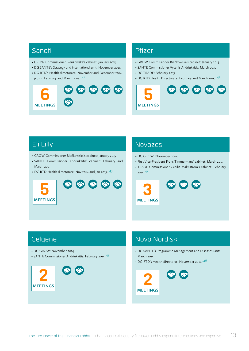## Sanofi

- GROW Commissioner Bieńkowska's cabinet: January 2015
- DG SANTE's Strategy and international unit: November 2014
- DG RTD's Health directorate: November and December 2014, plus in February and March 2015. .41

# **6 MEETINGS** 60 60 60 60

## Pfizer

- GROW Commissioner Bieńkowska's cabinet: January 2015
- SANTE Commissioner Vytenis Andriukaitis: March 2015
- DG TRADE: February 2015
- DG RTD Health Directorate: February and March 2015. .42



## Eli Lilly

- GROW Commissioner Bieńkowska's cabinet: January 2015
- SANTE Commissioner Andriukaitis' cabinet: February and March 2015
- DG RTD Health directorate: Nov 2014 and Jan 2015.  $\cdot$ 43



## Novozes

- DG GROW: November 2014
- First Vice-President Frans Timmermans' cabinet: March 2015
- TRADE Commissioner Cecilia Malmström's cabinet: February 2015 .44



## Celgene

- DG GROW: November 2014
- SANTE Commissioner Andriukaitis: February 2015 .45



## Novo Nordisk

- DG SANTE's Programme Management and Diseases unit: March 2015
- DG RTD's Health directorat: November 2014 .46

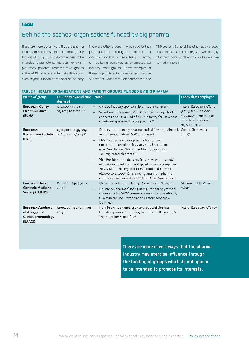BOX 3:

## Behind the scenes: organisations funded by big pharma

There are more covert ways that the pharma industry may exercise influence through the funding of groups which do not appear to be intended to promote its interests. For example, many patients' representative groups active at EU level are in fact significantly or even majority funded by the pharma industry.

There are other groups – which due to their pharmaceutical funding and promotion of industry interests – raise fears of acting, or risk being perceived as, pharmaceutical industry 'front groups'. Some examples of these crop up later in the report, such as the Alliance for Healthcare Competitiveness (see

[TTIP section\)](#page-26-1). Some of the other lobby groups found in the EU's lobby register, which enjoy pharma funding or other pharma ties, are presented in Table 1.

#### **Name of group EU Lobby expenditure** Notes **declared Lobby firms employed European Kidney Health Alliance (EKHA)** €50,000 - €99,999 01/2014 to 11/2014.47 – €35,000 industry sponsorship of its annual event. – Secretariat of informal MEP Group on Kidney Health; appears to act as a kind of MEP-industry forum whose events are sponsored by big pharma.48 Interel European Affairs (2014); fee €100,000 – €199,99949 – more than it declares in its own register entry. **European Respiratory Society** 03/2013 - 02/2014.<sup>50</sup> **(ERS)**  €300,000 - €399,999 – Donors include many pharmaceutical firms eg Almirall, Weber Shandwick Astra Zenecca, Pfizer, GSK and Bayer.51 – ERS President declares pharma fees of over €10,000 for consultancies / advisory boards, inc. GlaxoSmithKline, Novartis & Merck, plus many industry research grants.<sup>52</sup> – Vice President also declares fees from lectures and/ or advisory board memberships of pharma companies inc Astra Zeneca (€5,000 to €20,000) and Novartis (€1,000 to €5,000), & research grants from pharma companies, incl over €20,000 from GlaxoSmithKline.53  $(2014)^{54}$ **European Union Geriatric Medicine Society (EUGMS)**  €25,000 - €49,999 for 2014.55 – Members incl Pfizer, Eli-Lilly, Astra Zeneca & Bayer. – No info on pharma funding in register entry; yet website reports EUGMS' current sponsors include Abbott, GlaxoSmithKline, Pfizer, Sanofi Pasteur MSharp & Dohme.56 Marking Public Affairs bvba<sup>57</sup> **European Academy of Allergy and Clinical Immunology (EAACI)**  €100,000 - €199,999 for 2013. 58 – No info on its pharma sponsors, but website lists "Founder sponsors" including Novartis, Stallergenes, & ThermoFisher Scientific.59 Interel European Affairs<sup>60</sup>

**There are more covert ways that the pharma industry may exercise influence through the funding of groups which do not appear to be intended to promote its interests.**

#### **TABLE 1: HEALTH ORGANISATIONS AND PATIENT GROUPS FUNDED BY BIG PHARMA**

14 **Pharmaceutical industry firepower:** Lobby expenditure, meetings and expertise **Policy prescriptions**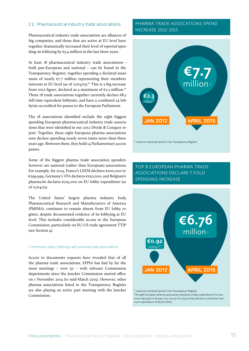#### <span id="page-14-0"></span>2.2. Pharmaceutical industry trade associations

Pharmaceutical industry trade associations are alliances of big companies, and those that are active at EU level have together dramatically increased their level of *reported* spending on lobbying by €5.4 million in the last three years.

At least 18 pharmaceutical industry trade associations – both pan-European and national – can be found in the Transparency Register, together spending a declared maximum of nearly  $\varepsilon$ 7.7 million representing their members interests at EU level (as of  $\text{II}/\text{O4}/\text{I5}$ ).<sup>61</sup> This is a big increase from 2012 figure, declared as a maximum of  $\epsilon$ 2.3 million.<sup>62</sup> These 18 trade associations together currently declare 68.5 full time equivalent lobbyists, and have a combined 24 lobbyists accredited for passes to the European Parliament.

The 18 associations identified include the eight biggest spending European pharmaceutical industry trade associations that were identified in our 2012 Divide & Conquer report. Together, these eight European pharma associations now declare spending nearly seven times more than three years ago. Between them, they hold 14 Parliamentary access passes.

Some of the biggest pharma trade association spenders however are national (rather than European) associations. For example, for 2014, France's LEEM declares €200,000 to €299,999, Germany's VFA declares €250,000, and Belgium's pharma.be declares €225,000 on EU lobby expenditure (as of 11/04/15).

The United States' largest pharma industry body, Pharmaceutical Research and Manufacturers of America (PhRMA), continues to remain absent from EU lobby register, despite documented evidence of its lobbying at EU level. This includes considerable access to the European Commission, particularly on EU-US trade agreement TTIP (see Section 4).

#### Commission lobby meetings with pharma trade associations

Access to documents requests have revealed that of all the pharma trade associations, EFPIA has had by far the most meetings – over 50 – with relevant Commission departments since the Juncker Commission started office on 1 November 2014 (to mid-March 2015). However, other pharma associations listed in the Transparency Register are also playing an active part meeting with the Juncker Commission:

#### PHARMA TRADE ASSOCATIONS SPEND INCREASE 2012-2015



\* maximum declared spend in the Transparency Register

## TOP 8 EUROPEAN PHARMA TRADE ASSOCIATIONS DECLARE 7 FOLD SPENDING INCREASE



The eight European pharma associations declared a lobby expenditure of a maximum €921,900 in January 2012, but as of 11/04/15 they declare a combined maximum expenditure of €6.76 million.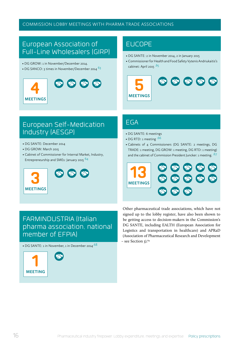#### COMMISSION LOBBY MEETINGS WITH PHARMA TRADE ASSOCIATIONS

## European Association of Full-Line Wholesalers (GIRP)

- DG GROW: 1 in November/December 2014.
- DG SANCO: 3 times in November/December 2014<sup>63</sup>



## EUCOPE

- DG SANTE: 2 in November 2014, 2 in January 2015
- Commissioner for Health and Food Safety Vytenis Andriukaitis's cabinet: April 2015 .65



## European Self-Medication Industry (AESGP)

- DG SANTE: December 2014
- DG GROW: March 2015
- Cabinet of Commissioner for Internal Market, Industry, Entrepreneurship and SMEs: January 2015 64



## EGA

- DG SANTE: 6 meetings
- DG RTD: 1 meeting .66
- Cabinets of 4 Commissioners (DG SANTE: 2 meetings, DG TRADE: 1 meeting, DG GROW: 1 meeting, DG RTD: 1 meeting) and the cabinet of Commission President Juncker: 1 meeting. .67



## FARMINDUSTRIA (Italian pharma association, national member of EFPIA)

• DG SANTE: 1 in November, 1 in December 2014 $\cdot$ <sup>68</sup>



Other pharmaceutical trade associations, which have not signed up to the lobby register, have also been shown to be getting access to decision-makers in the Commission's DG SANTE, including EALTH (European Association for Logistics and transportation in healthcare) and APRaD (Association of Pharmaceutical Research and Development – see Section 3).<sup>69</sup>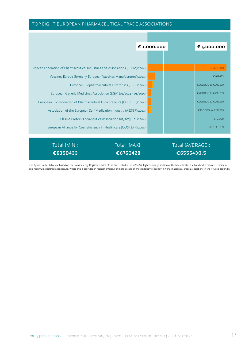#### TOP EIGHT EUROPEAN PHARMACEUTICAL TRADE ASSOCIATIONS



The figures in this table are based on the Transparency Register entries of the firms listed, as of 11/04/15. Lighter orange section of the bar indicates the bandwidth between minimum and maximum declared expenditure, where this is provided in register entries. For more details on methodology of identifying pharmaceutical trade associations in the TR, see [appendix](#page-33-1).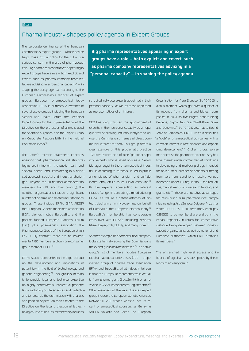#### Box 4

## <span id="page-17-0"></span>Pharma industry shapes policy agenda in Expert Groups

The corporate dominance of the European Commission's expert groups – whose advice helps make official policy for the  $EU - is a$ serious concern in the area of pharmaceuticals. Big pharma representatives appearing in expert groups have a role – both explicit and covert, such as pharma company representatives advising in a "personal capacity" – in shaping the policy agenda. According to the European Commission's register of expert groups European pharmaceutical lobby association EFPIA is currently a member of several active groups, including the European Alcohol and Health Forum, the Technical Expert Group for the implementation of the Directive on the protection of animals used for scientific purposes, and the Expert Group on Corporate Responsibility in the field of Pharmaceuticals.[70](#page-37-1)

This latter's mission statement concerns ensuring that "pharmaceutical industry strategies are in line with the public health and societal needs" and "considering in a balanced approach societal and industrial challenges". Beyond the 28 national administration members (both EU and third country), the 16 other organisations include a significant number of pharma and related industry lobby groups. These include EFPIA, GIRP, AESGP, the European Generic medicines Association (EGA), bio-tech lobby EuropaBio, and the pharma-funded European Patients Forum (EPF), plus pharmacists association the Pharmaceutical Group of the European Union (PGEU). By contrast, there are no environmental NGO members, and only one consumer group member, BEUC.<sup>71</sup>

EFPIA is also represented in the Expert Group on the development and implications of patent law in the field of biotechnology and genetic engineering.<sup>[72](#page-37-3)</sup> This group's mission is to provide legal and technical expertise on highly controversial intellectual property law – including on life sciences and biotech – and to "provi de the Commission with analysis and position papers" on topics related to the Directive on the legal protection of biotechnological inventions. Its membership includes

**Big pharma representatives appearing in expert groups have a role – both explicit and covert, such as pharma company representatives advising in a "personal capacity" – in shaping the policy agenda.**

so-called individual experts appointed in their "personal capacity", as well as those appointed as representatives of an interest.

CEO has long criticised the appointment of experts in their personal capacity as an opaque way of allowing industry lobbyists to advise the Commission on areas of direct commercial interest to them. This group offers a clear example of this problematic practice – Gautier Pereira, one of nine "personal capacity" experts, who is listed only as a "Senior Manager Legal in the pharmaceutical industry", is, according to Pereira's Linked-in profile, an employee of pharma giant and self-de-clared lobby on IP issues, GlaxoSmithKline.<sup>[73](#page-37-4)</sup> Its five experts representing an interest include "Ginger IP Consulting Limited advising EFPIA", as well as a patent attorney at biotech/biopharma firm Novozymes, on behalf of EuropaBio, the European biotech lobby.<sup>[74](#page-37-5)</sup> EuropaBio's membership has considerable cross-over with EFPIA's, including Novartis, Pfizer, Bayer, GSK, Eli Lilly, and many more.<sup>[75](#page-37-6)</sup>

Another example of pharmaceutical company lobbyists formally advising the Commission is the expert group on rare diseases.<sup>76</sup> The active group's list of members includes European Biopharmaceutical Enterprises (EBE – a specialised group of pharma trade association EFPIA) and EuropaBio. What it doesn't tell you is that the EuropaBio representative is actually from pharma giant GlaxoSmithKline, as revealed in GSK's Transparency Register entry.<sup>77</sup> Other members of the rare diseases expert group include the European Genetic Alliances' Network (EGAN), whose website lists its recent pharmaceutical sponsors as Genzyme, AMGEN, Novartis, and Roche. The European

Organisation for Rare Disease (EURORDIS) is also a member, which got over a quarter of its revenue from pharma and biotech companies in 2013, its five largest donors being Celgene, Sigma Tau, GlaxoSmithKline, Shire and Genzyme.<sup>78</sup> EURORDIS also has a Round Table of Companies (ERTC), which it describes "a "club" of pharmaceutical companies with a common interest in rare diseases and orphan drug development".[79](#page-37-10) 'Orphan' drugs, so named because the pharmaceutical industry has little interest under normal market conditions in developing and marketing drugs intended for only a small number of patients suffering from very rare conditions, receive various incentives under EU regulation – fee reductions, market exclusivity, research funding, and grants etc.<sup>80</sup> These are lucrative advantages for multi-billion euro pharmaceutical companies including AstraZeneca, Celgene, Pfizer, for whom EURORDIS' ERTC fees (they each pay €25,000 to be members) are a drop in the ocean. Especially in return for "constructive dialogue being developed between industry, patient organisations, as well as national and European authorities", which ERTC promises its members.<sup>81</sup>

The entrenched high level access and influence of big pharma is exemplified by these kinds of advisory group.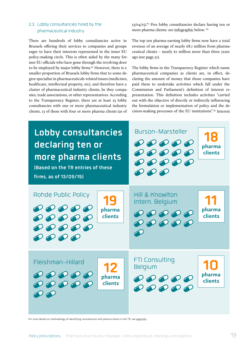#### <span id="page-18-0"></span>2.3. Lobby consultancies hired by the pharmaceutical industry

There are hundreds of lobby consultancies active in Brussels offering their services to companies and groups eager to have their interests represented in the inner EU policy-making circle. This is often aided by the many former EU officials who have gone through the revolving door to be employed by major lobby firms. $82$  However, there is a smaller proportion of Brussels lobby firms that to some degree specialise in pharmaceuticals-related issues (medicines, healthcare, intellectual property, etc), and therefore have a cluster of pharmaceutical industry clients, be they companies, trade associations, or other representatives. According to the Transparency Register, there are at least 25 lobby consultancies with one or more pharmaceutical industry clients, 13 of these with four or more pharma clients (as of

13/04/15).[83](#page-37-14) Five lobby consultancies declare having ten or more pharma clients: see [infographic](#page-18-1) below. [84](#page-37-15)

The top ten pharma-earning lobby firms now have a total revenue of an average of nearly €8.1 million from pharmaceutical clients - nearly  $\varepsilon$ I million more than three years ago (see page 21).

The lobby firms in the Transparency Register which name pharmaceutical companies as clients are, in effect, declaring the amount of money that those companies have paid them to undertake activities which fall under the Commission and Parliament's definition of interest representation. This definition includes activities "carried out with the objective of directly or indirectly influencing the formulation or implementation of policy and the decision-making processes of the EU institutions".[85](#page-37-16) Interest

<span id="page-18-1"></span>

For more details on methodology of identifying consultancies with pharma clients in the TR, see [appendix](#page-33-1).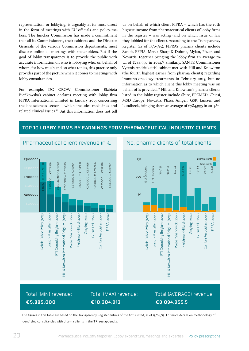representation, or lobbying, is arguably at its most direct in the form of meetings with EU officials and policy-makers. The Juncker Commission has made a commitment that all its Commissioners, their cabinets and the Director Generals of the various Commission departments, must disclose online all meetings with stakeholders. But if the goal of lobby transparency is to provide the public with accurate information on who is lobbying who, on behalf of whom, for how much and on what topics, this practice only provides part of the picture when it comes to meetings with lobby consultancies.

For example, DG GROW Commissioner Elżbieta Bieńkowska's cabinet declares meeting with lobby firm FIPRA International Limited in January 2015 concerning the life sciences sector – which includes medicines and related clinical issues.<sup>[86](#page-37-17)</sup> But this information does not tell

us on behalf of which client FIPRA – which has the 10th highest income from pharmaceutical clients of lobby firms in the register – was acting (and on which issue or law they lobbied for the client). According to the Transparency Register (as of 13/05/15), FIPRA's pharma clients include Sanofi, EFPIA, Merck Sharp & Dohme, Mylan, Pfizer, and Novartis, together bringing the lobby firm an average total of €284,997 in 2014.<sup>87</sup> Similarly, SANTE Commissioner Vytenis Andriukaitis' cabinet met with Hill and Knowlton (the fourth highest earner from pharma clients) regarding Immuno-oncology treatments in February 2015, but no information as to which client this lobby meeting was on behalf of is provided.<sup>88</sup> Hill and Knowlton's pharma clients listed in the lobby register include Shire, EPEMED, Chiesi, MSD Europe, Novartis, Pfizer, Amgen, GSK, Janssen and Lundbeck, bringing them an average of  $\epsilon$ 784,995 in 2013.<sup>[89](#page-37-20)</sup>

#### **TOP 10 LOBBY FIRMS BY EARNINGS FROM PHARMACEUTICAL INDUSTRY CLIENTS**





## Total (MIN) revenue: **€5.885.000**

Total (MAX) revenue: **€10.304.913**

## Total (AVERAGE) revenue: **€8.094.955,5**

The figures in this table are based on the Transparency Register entries of the firms listed, as of 13/04/15. For more details on methodology of identifying consultancies with pharma clients in the TR, see appendix.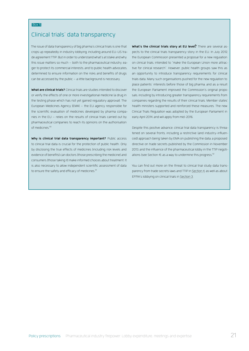#### Box 5

## <span id="page-20-0"></span>Clinical trials' data transparency

The issue of data transparency of big pharma's clinical trials is one that crops up repeatedly in industry lobbying, including around EU-US trade agreement TTIP. But in order to understand what's at stake and why this issue matters so much – both to the pharmaceutical industry, eager to protect its commercial interests, and to public health advocates, determined to ensure information on the risks and benefits of drugs can be accessed by the public – a little background is necessary.

**What are clinical trials?** Clinical trials are studies intended to discover or verify the effects of one or more investigational medicine (a drug in the testing phase which has not yet gained regulatory approval). The European Medicines Agency (EMA) – the EU agency responsible for the scientific evaluation of medicines developed by pharma companies in the EU – relies on the results of clinical trials carried out by pharmaceutical companies to reach its opinions on the authorisation of medicines.<sup>90</sup>

**Why is clinical trial data transparency important?** Public access to clinical trial data is crucial for the protection of public health. Only by disclosing the true effects of medicines (including risk levels and evidence of benefits) can doctors (those prescribing the medicine) and consumers (those taking it) make informed choices about treatment. It is also necessary to allow independent scientific assessment of data to ensure the safety and efficacy of medicines.<sup>[91](#page-37-22)</sup>

**What's the clinical trials story at EU level?** There are several aspects to the clinical trials transparency story in the EU. In July 2012, the European Commission presented a proposal for a new regulation on clinical trials, intended to "make the European Union more attractive for clinical research". However, public health groups saw this as an opportunity to introduce transparency requirements for clinical trials data. Many such organisations pushed for the new regulation to place patients' interests before those of big pharma, and as a result the European Parliament improved the Commission's original proposals, including by introducing greater transparency requirements from companies regarding the results of their clinical trials. Member states' health ministers supported and reinforced these measures. The new Clinical Trials Regulation was adopted by the European Parliament in early April 2014, and will apply from mid-2016.

Despite this positive advance, clinical trial data transparency is threatened on several fronts, including a restrictive (and industry-influenced) approach being taken by EMA on publishing the data, a proposed directive on trade secrets published by the Commission in November 2013, and the influence of the pharmaceutical lobby in the TTIP negotiations (see Section 4), as a way to undermine this progress. $92$ 

You can find out more on the threat to clinical trial study data transparency from trade secrets laws and TTIP in [Section 4](#page-26-1), as well as about EFPIA's lobbying on clinical trials in [Section 3](#page-21-1).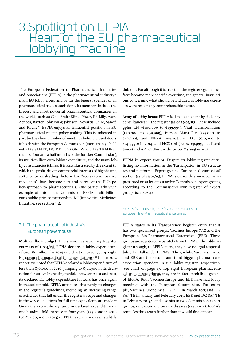# <span id="page-21-1"></span><span id="page-21-0"></span>3.Spotlight on EFPIA: Heart of the EU pharmaceutical lobbying machine

The European Federation of Pharmaceutical Industries and Associations (EFPIA) is the pharmaceutical industry's main EU lobby group and by far the biggest spender of all pharmaceutical trade associations. Its members include the biggest and most powerful pharmaceutical companies in the world, such as GlaxoSmithKline, Pfizer, Eli Lilly, Astra Zeneca, Baxter, Johnson & Johnson, Novartis, Shire, Sanofi, and Roche.[93](#page-37-24) EFPIA enjoys an influential position in EU pharmaceutical-related policy making. This is indicated in part by the sheer number of meetings behind closed doors it holds with the European Commission (more than 50 held with DG SANTE, DG RTD, DG GROW and DG TRADE in the first four and a half months of the Juncker Commission), its multi-million euro lobby expenditure, and the many lobby consultancies it hires. It is also illustrated by the extent to which the profit-driven commercial interests of big pharma, softened by misleading rhetoric like "access to innovative medicines", have become part and parcel of the EU's policy-approach to pharmaceuticals. One particularly vivid example of this is the Commission-EFPIA multi-billion euro public-private-partnership IMI (Innovative Medicines Initiative, see [section 3.3\)](#page-24-1).

#### 3.1. The pharmaceutical industry's European powerhouse

**Multi-million budget:** In its own Transparency Register entry (as of 11/04/15), EFPIA declares a lobby expenditure of over  $\epsilon$ 5 million for 2014 (see chart on page 17, Top eight European pharmaceutical trade associations)[.94](#page-37-25) In our 2012 report, we noted that EFPIA declared a lobby expenditure of less than  $\epsilon$ 50,000 in 2010, jumping to  $\epsilon$ 571,900 in its declaration for 2011[.95](#page-37-26) Increasing tenfold between 2010 and 2011, its declared EU lobby expenditure for 2014 has once again increased tenfold. EFPIA attributes this partly to changes in the register's guidelines, including an increasing range of activities that fall under the register's scope and changes in the way calculations for full time equivalents are made.<sup>96</sup> Given the extraordinary jump in declared expenditure - a one hundred fold increase in four years (<€50,000 in 2010 to >€5,000,000 in 2014) - EFPIA's explanation seems a little

dubious. For although it is true that the register's guidelines *have* become more specific over time, the general instructions concerning what should be included as lobbying expenses were reasonably comprehensible before.

**Army of lobby firms:** EFPIA is listed as a client by six lobby consultancies in the register (as of 13/05/15). These include gplus Ltd (€100,000 to €199,999), Vital Transformation (€50,000 to €99,999), Burson Marsteller (€25,000 to €49,999), and FIPRA International Ltd (€10,000 to €24,9990) in 2014, and HCS sprl (below €9,999, but listed twice) and APCO Worldwide (below €9,999) in 2013.

**EFPIA in expert groups:** Despite its lobby register entry listing no information in the 'Participation in EU structures and platforms: Expert groups (European Commission)' section (as of 13/05/15), EFPIA is currently a member or represented on at least four active Commission expert groups, according to the Commission's own register of expert groups (see [Box 4](#page-17-0)).

EFPIA's "specialised groups": Vaccines Europe and European Bio-Pharmaceutical Enterprises

EFPIA states in its Transparency Register entry that it has two specialised groups: Vaccines Europe (VE) and the European Bio-Pharmaceutical Enterprises (EBE). These groups are registered separately from EFPIA in the lobby register (though, as EFPIA states, they have no legal responsibility, but fall under EFPIA's). Thus, whilst VaccinesEurope and EBE are the second and third biggest pharma trade association spenders in the lobby register, respectively (see chart on page 17, Top eight European pharmaceutical trade associations), they are in fact specialised groups of EFPIA. Both VaccinesEurope and EBE have had lobby meetings with the European Commission. For example, VaccinesEurope met DG RTD in March 2015 and DG SANTE in January and February 2015. EBE met DG SANTE in February 2015,[97](#page-37-28) and also sits in two Commission expert groups, on cancer and on rare diseases (see [Box 4\)](#page-17-0). EFPIA's tentacles thus reach further than it would first appear.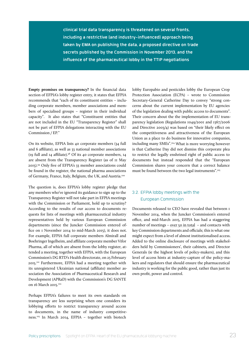<span id="page-22-0"></span>**clinical trial data transparency is threatened on several fronts, including a restrictive (and industry-influenced) approach being taken by EMA on publishing the data, a proposed directive on trade secrets published by the Commission in November 2013, and the influence of the pharmaceutical lobby in the TTIP negotiations**

**Empty promises on transparency?** In the financial data section of EFPIA's lobby register entry, it states that EFPIA recommends that "each of its constituent entities – including corporate members, member associations and members of specialised groups – register in their individual capacity". It also states that "Constituent entities that are not included in the EU "Transparency Register" shall not be part of EFPIA delegations interacting with the EU Commission / EP."

On its website, EFPIA lists 40 corporate members (34 full and 6 affiliate), as well as 33 national member associations (19 full and 14 affiliate).<sup>98</sup> Of its 40 corporate members, 14 are absent from the Transparency Register (as of 11 May 2015).[99](#page-38-1) Only five of EFPIA's 33 member associations could be found in the register, the national pharma associations of Germany, France, Italy, Belgium, the UK, and Austria[.100](#page-38-2)

The question is, does EFPIA's lobby register pledge that any members who've ignored its guidance to sign up to the Transparency Register will not take part in EFPIA meetings with the Commission or Parliament, hold up to scrutiny? According to the results of our access to documents requests for lists of meetings with pharmaceutical industry representatives held by various European Commission departments (since the Juncker Commission entered office on 1 November 2014 to mid-March 2015), it does not. For example, EFPIA full corporate members Almirall and Boehringer Ingelheim, and affiliate corporate member Vifor Pharma, all of which are absent from the lobby register, attended a meeting, together with EFPIA, with the European Commission's DG RTD's Health directorate, on 25 February 2015[.101](#page-38-3) Furthermore, EFPIA had a meeting together with its unregistered Ukrainian national (affiliate) member association the Association of Pharmaceutical Research and Development (APRaD) with the Commission's DG SANTE on 16 March 2015.<sup>102</sup>

Perhaps EFPIA's failures to meet its own standards on transparency are less surprising when one considers its lobbying efforts to restrict transparency around access to documents, in the name of industry competitiveness.[103](#page-38-5) In March 2014, EFPIA – together with biotech

lobby Europabio and pesticides lobby the European Crop Protection Association (ECPA) – wrote to Commission Secretary-General Catherine Day to convey "strong concerns about the current implementation by EU agencies of the legislation dealing with public access to documents". Their concern about the the implementation of EU transparency legislation (Regulations 1049/2001 and 1367/2006 and Directive 2003/4) was based on "their likely effect on the competitiveness and attractiveness of the European Union as a place to do business for innovative companies, including many SMEs".[104](#page-38-6) What is more worrying however is that Catherine Day did not dismiss this corporate plea to restrict the legally enshrined right of public access to documents but instead responded that the "European Commission shares your concern that a correct balance must be found between the two legal instruments"[.105](#page-38-7)

#### 3.2. EFPIA lobby meetings with the European Commission

Documents released to CEO have revealed that between 1 November 2014, when the Juncker Commission's entered office, and mid-March 2015, EFPIA has had a staggering number of meetings – [over 50 in total](#page-23-0) – and contacts with key Commission departments and officials; this is what one might expect from a level of almost institutionalised access. Added to the online disclosure of meetings with stakeholders held by Commissioners', their cabinets, and Director Generals (ie the highest levels of policy-makers), and this level of access hints at industry-capture of the policy-makers and regulators that should ensure the pharmaceutical industry is working for the public good, rather than just its own profit, power and control.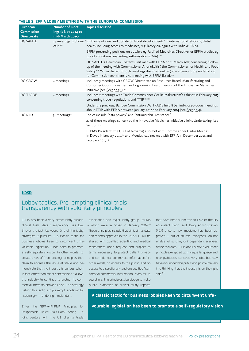#### <span id="page-23-0"></span>**TABLE 2: EFPIA LOBBY MEETINGS WITH THE EUROPEAN COMMISSION**

| <b>European</b><br>Commission<br><b>Directorate</b> | Number of meet-<br>ings (1 Nov 2014 to<br>mid-March 2015) | <b>Topics discussed</b>                                                                                                                                                                                                                                                                                                                                                  |
|-----------------------------------------------------|-----------------------------------------------------------|--------------------------------------------------------------------------------------------------------------------------------------------------------------------------------------------------------------------------------------------------------------------------------------------------------------------------------------------------------------------------|
| <b>DG SANTE</b>                                     | $c$ alls <sup>106</sup>                                   | 14 meetings; 2 phone "Exchange of view and update on latest developments" in international relations, global<br>health including access to medicines, regulatory dialogues with India & China.                                                                                                                                                                           |
|                                                     |                                                           | EFPIA presenting positions on dossiers eg Falsified Medicines Directive, or EFPIA studies eg<br>use of conditional marketing authorisation (CMA). <sup>107</sup>                                                                                                                                                                                                         |
|                                                     |                                                           | DG SANTE's Healthcare Systems unit met with EFPIA on 11 March 2015 concerning "Follow<br>up of the meeting with Commissioner Andriukaitis", the Commissioner for Health and Food<br>Safety. <sup>108</sup> Yet, in the list of such meetings disclosed online (now a compulsory undertaking<br>for Commissioners), there is no meeting with EFPIA listed. <sup>109</sup> |
| <b>DG GROW</b>                                      | 4 meetings                                                | Includes 3 meetings with GROW Directorate on Resources Based, Manufacturing and<br>Consumer Goods Industries, and a governing board meeting of the Innovative Medicines<br>Initiative (see Section 3.1). <sup>110</sup>                                                                                                                                                  |
| <b>DG TRADE</b>                                     | 4 meetings                                                | Includes 2 meetings with Trade Commissioner Cecilia Malmström's cabinet in February 2015,<br>concerning trade negotiations and TTIP. <sup>111</sup> 112                                                                                                                                                                                                                  |
|                                                     |                                                           | Under the previous, Barroso Commission DG TRADE held 8 behind-closed-doors meetings<br>about TTIP with EFPIA between January 2012 and February 2014 (see Section 4).                                                                                                                                                                                                     |
| DG RTD                                              | 31 meetings <sup>113</sup>                                | Topics include "data privacy" and "antimicrobial resistance".                                                                                                                                                                                                                                                                                                            |
|                                                     |                                                           | 27 of these meetings concerned the Innovative Medicines Initiative 2 Joint Undertaking (see<br>Section 3).                                                                                                                                                                                                                                                               |
|                                                     |                                                           | EFPIA's President (the CEO of Novartis) also met with Commissioner Carlos Moedas<br>in Davos in January 2015, <sup>114</sup> and Moedas' cabinet met with EFPIA in December 2014 and<br>February 2015. <sup>115</sup>                                                                                                                                                    |

#### BOX 6

## Lobby tactics: Pre-empting clinical trials transparency with voluntary principles

clinical trials' data transparency (see  $\underline{Box}$  – which were launched in January 2014. $^{\text{ne}}$ [5](#page-20-0)) over the last few years. One of the lobby These principles include that clinical trial data (FDA) once a new medicine has been apstrategies it pursued – a classic tactic for and reports approved in the US or EU "will be business lobbies keen to circumvent unfa-shared with qualified scientific and medical vourable legislation – has been to promote researchers upon request and subject to of the trial data. EFPIA and PhRMA's voluntary a self-regulatory vision. In other words, to terms necessary to protect patient privacy create a set of (non-binding) principles that and confidential commercial information." In claim to address the issue at stake and de-other words, no access to the public, and no monstrate that the industry is serious, when access to discretionary and unspecified "conin fact, other than minor concessions it allows fidential commercial information" even for rethe industry to continue to protect its com-searchers. The principles also pledge to make mercial interests above all else. The strategy behind this tactic is to pre-empt regulation by – seemingly – rendering it redundant.

Enter the "EFPIA-PhRMA Principles for Responsible Clinical Trials Data Sharing" – a joint venture with the US pharma trade

EFPIA has been a very active lobby around association and major lobby group PhRMA public "synopses of clinical study reports"

that have been submitted to EMA or the US equivalent Food and Drug Administration proved – but of course, "synopses" do not enable full scrutiny or independent analyses principles, wrapped up in vague language and nice platitudes, concede very little, but may have influenced the public and policy-makers into thinking that the industry is on the right side.<sup>[117](#page-39-1)</sup>

**A classic tactic for business lobbies keen to circumvent unfavourable legislation has been to promote a self-regulatory vision**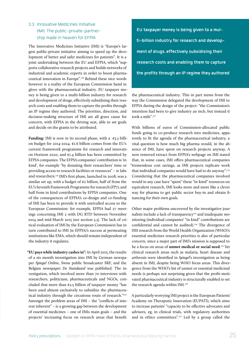### <span id="page-24-1"></span><span id="page-24-0"></span>3.3. Innovative Medicines Initiative (IMI): The public-private-partnership made in heaven for EFPIA

The Innovative Medicines Initiative (IMI) is "Europe's largest public-private initiative aiming to speed up the development of better and safer medicines for patients". It is a joint undertaking between the EU and EFPIA, which "supports collaborative research projects and builds networks of industrial and academic experts in order to boost pharmaceutical innovation in Europe".[118](#page-39-2) Behind these nice words however is a reality of the European Commission hand in glove with the pharmaceutical industry. EU taxpayer money is being given to a multi-billion industry for research and development of drugs, effectively subsidising their research costs and enabling them to capture the profits through an IP regime they authored. The priorities, direction, and decision-making structure of IMI are all grave cause for concern, with EFPIA in the driving seat, able to set goals and decide on the grants to be attributed.

**Funding:** IMI is now in its second phase, with a  $\epsilon$ 3.3 billion budget for 2014-2024. €1.6 billion comes from the EU's current framework programme for research and innovation Horizon 2020, and  $\epsilon$ 1.4 billion has been committed by EFPIA companies. The EFPIA companies' contribution is 'in kind', for example "by donating their researchers' time or providing access to research facilities or resources" – ie labs and researchers.[119](#page-39-3) IMI's first phase, launched in 2008, was a similar set up, with a budget of €2 billion, half of from the EU's Seventh Framework Programme for research (FP7), and half from in kind contributions by EFPIA companies. One of the consequences of EFPIA's co-design and co-funding of IMI has been to provide it with unrivalled access to the European Commission: for example, EFPIA had 27 meetings concerning IMI 2 with DG RTD between November 2014 and mid-March 2015 (see section 3.3). The lack of critical evaluation of IMI by the European Commission has in turn contributed to IMI (ie EFPIA)'s success at permeating institutions like EMA, which should remain independent of the industry it regulates.

**"EU pays while industry cashes in":** In April 2015, the results of a six month investigation into IMI by German newspaper *Spiegel Online*, Swiss public broadcaster SRF, and the Belgian newspaper *De Standaard* was published. The investigation, which involved more than 70 interviews with researchers, politicians, pharmaceuticals and NGOs, concluded that more than  $\epsilon$ 2.5 billion of taxpayer money "has been used almost exclusively to subsidize the pharmaceutical industry through the circuitous route of research."<sup>120</sup> Amongst the problem areas of IMI – the "conflicts of interest inherent" – is a growing gap between the development of essential medicines – one of IMIs main goals – and the projects' increasing focus on research areas that benefit

**EU taxpayer money is being given to a multi-billion industry for research and development of drugs, effectively subsidising their research costs and enabling them to capture the profits through an IP regime they authored**

the pharmaceutical industry. This in part stems from the way the Commission delegated the development of IMI to EFPIA during the design of the project: "the Commission's intention had been to give industry an inch, but instead it took a mile"[.121](#page-39-4)

With billions of euros of Commission-allocated public funds going to co-produce research into medicines, apparently to fit the agenda of the pharmaceutical industry, a vital question is how much big pharma would, in the absence of IMI, have spent on research projects anyway. A now removed extract from EFPIA's webpage on IMI stated that, in some cases, IMI offers pharmaceutical companies "tremendous cost savings, as IMI projects replicate work that individual companies would have had to do anyway".<sup>122</sup> Considering that the pharmaceutical companies involved would in any case have "spent" these "in-kind" resources on equivalent research, IMI looks more and more like a clever way for pharma to get public sector buy-in and obtain financing for their own goals.

Other major problems uncovered by the investigative journalists include a lack of transparency<sup>123</sup> and inadequate monitoring (individual companies' "in kind" contributions are confidential and cannot be audited).<sup>124</sup> The divergence of IMI research from the World Health Organization (WHO)'s essential medicines research priorities is also of particular concern, since a major part of IMI's mission is supposed to be a focus on areas of **unmet medical or social need**. [125](#page-39-6) Yet clinical research areas such as malaria, heart disease and arthrosis were identified in *Spiegel*'s investigation as being absent in IMI, despite being WHO focus areas. This divergence from the WHO's list of unmet or essential medicinal needs is perhaps not surprising given that the profit-motivated pharmaceutical industry is structurally enabled to set the research agenda within IMI.<sup>126</sup>

A particularly worrying IMI project is the European Patients' Academy on Theraputic Innovation (EUPATI), which aims to increase patients' "capacity to be effective advocates and advisors, eg, in clinical trials, with regulatory authorities and in ethics committees"*.* [127](#page-39-7) Led by a group called the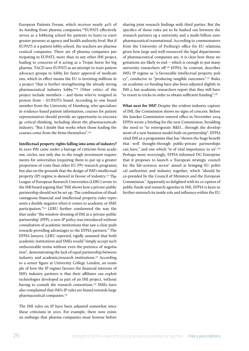European Patients Forum, which receives nearly 40% of its funding from pharma companies*,* [128](#page-39-8)EUPATI effectively serves as a lobbying school for patients to learn to exert greater pressure at agency and health authority level. But if EUPATI is a patient lobby school, the teachers are pharmaceutical companies. There are 18 pharma companies participating in EUPATI, more than in any other IMI project, leading to concerns of it acting as a Trojan horse for big pharma. TACD sees EUPATI as an attempt to train patient advocacy groups to lobby for faster approval of medications, which in effect means the EU is investing millions in a project "that is further strengthening the already strong pharmaceutical industry lobby.["129](#page-39-9) Other critics of the project include members – and those who've resigned in protest from – EUPATI's board. According to one board member from the University of Hamburg, who specializes in evidence-based patient information, courses for patient representatives should provide an opportunity to encourage critical thinking, including about the pharmaceuticals industry, "But I doubt that works when those leading the courses come from the firms themselves".[130](#page-39-10)

#### **Intellectual property rights falling into arms of industry?**

In 2010 IMI came under a barrage of criticism from academic circles, not only due to the tough investment requirements for universities (requiring them to put up a greater proportion of costs than other EU FP7 research programs), but also on the grounds that the design of IMI's intellectual property (IP) regime is skewed in favour of industry.<sup>131</sup> The League of European Research Universities (LERU) wrote to the IMI board arguing that "IMI shows how a private-public partnership should not be set up. The combination of disadvantageous financial and intellectual property rules represents a double negative when it comes to academic or SME participation.["132](#page-39-12) LERU further condemned the way the that under "the window-dressing of IMI as a 'private-public partnership' (PPP), a new IP policy was introduced without consultation of academic institutions that saw a clear push towards providing advantages to the EFPIA partners." The EFPIA lawyers, LERU reported, rigidly assumed that both academic institutions and SMEs would "simply accept such unfavourable terms without even the pretence of negotiation", demonstrating the lack of equal partnership between industry and academic/research institutions.<sup>[133](#page-39-13)</sup> According to a senior figure at University College London, an example of how the IP regime favours the financial interests of IMI's industry partners is that their affiliates can exploit technologies developed as part of an IMI project, without having to consult the research consortium.<sup>134</sup> SMEs have also complained that IMI's IP rules are biased towards large pharmaceutical companies.<sup>[135](#page-39-15)</sup>

The IMI rules on IP have been adjusted somewhat since these criticisms in 2010. For example, there now exists an embargo that pharma companies must honour before

sharing joint research findings with third parties. But the specifics of those rules are to be hashed out between the research partners eg a university and a multi-billion euro pharmaceutical transnational. According to commentators from the University of Freiburg's office for EU relations, given how large and well-resourced the legal departments of pharmaceutical companies are, it is clear how these negotiations are likely to end – which is enough to put many university researchers off[.136](#page-39-16) EFPIA, by contrast, describes IMI's IP regime as "a favourable intellectual property policy", conducive to "producing tangible outcomes".[137](#page-39-17) Rules on academic co-funding have also been adjusted slightly in IMI 2, but academic researchers report that they still have "to resort to tricks in order to obtain sufficient funding".138

**What next for IMI?** Despite the evident industry-capture of IMI, the Commission shows no signs of concern. Before the Juncker Commission entered office in November 2014, EFPIA wrote a briefing for the new Commission, heralding the need to "to reinvigorate R&D... through the development of a new business model built on partnership". EFPIA cited IMI as a programme that has "shown the huge benefit that well thought-through public-private partnerships can have," and one which "is of vital importance to us".[139](#page-39-18) Perhaps more worryingly, EFPIA informed DG Enterprise that it proposes to launch a 'European strategic council for the life-sciences sector' aimed at bringing EU political authorities and industry together, which "should be co-presided by the Council of Ministers and the European Commission." Apparently so delighted with its co-option of public funds and research agendas in IMI, EFPIA is keen to further entrench its inside role and influence within the EU.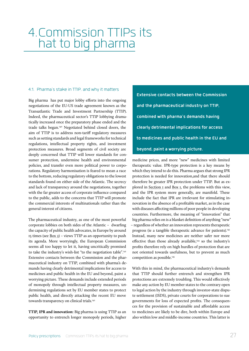# <span id="page-26-1"></span><span id="page-26-0"></span>4.Commission TTIPs its hat to big pharma

#### 4.1. Pharma's stake in TTIP, and why it matters

Big pharma has put major lobby efforts into the ongoing negotiations of the EU-US trade agreement known as the Transatlantic Trade and Investment Partnership (TTIP). Indeed, the pharmaceutical sector's TTIP lobbying dramatically increased once the preparatory phase ended and the trade talks began.[140](#page-39-19) Negotiated behind closed doors, the aim of TTIP is to address non-tariff regulatory measures such as setting standards and legal frameworks for technical regulations, intellectual property rights, and investment protection measures. Broad segments of civil society are deeply concerned that TTIP will lower standards for consumer protection, undermine health and environmental policies, and transfer even more political power to corporations. Regulatory harmonisation is feared to mean a race to the bottom, reducing regulatory obligations to the lowest standards found on either side of the Atlantic. The secrecy and lack of transparency around the negotiations, together with the far greater access of corporate influence compared to the public, adds to the concerns that TTIP will promote the commercial interests of multinationals rather than the general interest of citizens.

The pharmaceutical industry, as one of the most powerful corporate lobbies on both sides of the Atlantic – dwarfing the capacity of public health advocates, in Europe by around 15 times (see [Box 2](#page-8-0)) – views TTIP as an opportunity to push its agenda. More worryingly, the European Commission seems all too happy to let it, having uncritically promised to take the industry's wish-list "to the negotiation table".141 Extensive contacts between the Commission and the pharmaceutical industry on TTIP, combined with pharma's demands having clearly detrimental implications for access to medicines and public health in the EU and beyond, paint a worrying picture. These demands include extended periods of monopoly through intellectual property measures, undermining regulations set by EU member states to protect public health, and directly attacking the recent EU move towards transparency on clinical trials.<sup>142</sup>

**TTIP, IPR and innovation:** Big pharma is using TTIP as an opportunity to entrench longer monopoly periods, higher

**Extensive contacts between the Commission and the pharmaceutical industry on TTIP, combined with pharma's demands having clearly detrimental implications for access to medicines and public health in the EU and beyond, paint a worrying picture.**

medicine prices, and more "new" medicines with limited therapeutic value. IPR-type protection is a key means by which they intend to do this. Pharma argues that strong IPR protection is needed for innovation,and that there should therefore be greater IPR protection under TTIP. But as ex-plored in [Section 1](#page-4-1) and [Box 1,](#page-6-0) the problems with this view, and the IPR system more generally, are manifold. These include the fact that IPR are irrelevant for stimulating innovation in the absence of a profitable market, as in the case with diseases affecting millions of poor people in developing countries. Furthermore, the meaning of "innovation" that big pharma relies on is a blanket definition of anything "new" – regardless of whether an innovation represents therapeutic progress (ie a tangible therapeutic advance for patients).<sup>[143](#page-39-21)</sup> Instead, many new medicines are neither safer nor more effective than those already available,<sup>[144](#page-39-22)</sup> so the industry's profits therefore rely on high hurdles of protection that are not oriented towards usefulness, but to prevent as much competition as possible.<sup>[145](#page-39-23)</sup>

With this in mind, the pharmaceutical industry's demands that TTIP should further entrench and strengthen IPR protections are extremely troubling. This would effectively make any action by EU member states to the contrary open to legal action by the industry through investor-state dispute settlement (ISDS), private courts for corporations to sue governments for loss of expected profits. The consequences for the provision of sustainable and affordable access to medicines are likely to be dire, both within Europe and also within low and middle-income countries. This latter is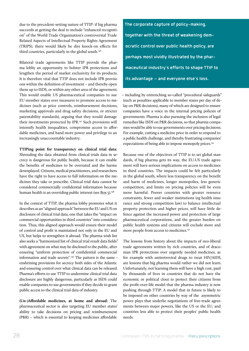due to the precedent-setting nature of TTIP: if big pharma succeeds at getting the deal to include "enhanced recognition" of the World Trade Organisation's controversial Trade Related Aspects of Intellectual Property Rights Agreement (TRIPS), there would likely be dire knock-on effects for third countries, particularly in the global south.<sup>[146](#page-40-0)</sup>

Bilateral trade agreements like TTIP provide the pharma lobby an opportunity to bolster IPR protections and lengthen the period of market exclusivity for its products. It is therefore vital that TTIP does not include IPR provisions within the definition of investment – and thereby open them up to ISDS, or within any other area of the agreement. This would enable US pharmaceutical companies to sue EU member states over measures to promote access to medicines (such as price controls, reimbursement decisions, marketing approvals and drug safety decisions, or stricter patentability standards), arguing that they would damage their investments protected by IPR[.147](#page-40-1) Such provisions will intensify health inequalities, compromise access to affordable medicines, and hand more power and privilege to an increasingly unaccountable industry.

**TTIPing point for transparency on clinical trial data:**  Shrouding the data obtained from clinical trials data in secrecy is dangerous for public health, because it can enable the benefits of medicines to be overrated and the harms downplayed. Citizens, medical practitioners, and researchers have the right to have access to full information on the medicines they take or prescribe. Clinical trial data cannot be considered commercially confidential information because human health is an overriding public interest (see [Box 5\)](#page-20-0).<sup>[148](#page-40-2)</sup>

In the context of TTIP, the pharma lobby promotes what it describes as an "aligned approach" between the EU and US on disclosure of clinical trial data, one that takes the "impact on commercial opportunities in third countries" into consideration. Thus, this aligned approach would ensure their model of control and profit is maintained not only in the EU and US, but helps to strengthen it abroad. The pharma wish list also seeks a "harmonized list of clinical trial result data fields" with agreement on what may be disclosed to the public, after ensuring "uniform protection of confidential commercial information and trade secrets"[.149](#page-40-3) The pattern is the same – enshrining provisions for secrecy both sides of the Atlantic and ensuring control over what clinical data can be released. Pharma's efforts to use TTIP to undermine clinical trial data disclosure are highly dangerous, particularly as ISDS could enable companies to sue governments if they decide to grant public access to the clinical trial data of industry.

**(Un-)Affordable medicines, at home and abroad:** The pharmaceutical sector is also targeting EU member states' ability to take decisions on pricing and reimbursement (P&R) – which is essential to keeping medicines affordable

**The corporate capture of policy-making, together with the threat of weakening democratic control over public health policy, are perhaps most vividly illustrated by the pharmaceutical industry's efforts to shape TTIP to its advantage – and everyone else's loss.**

– including by entrenching so-called "procedural safeguards" (such as penalties applicable to member states per day of delay on P&R decisions), many of which are designed to ensure companies have a voice in the internal pricing policies of governments. Pharma is also pursuing the inclusion of legal remedies like ISDS on P&R decisions, so that pharma companies would be able to sue governments over pricing decisions. For example, cutting a medicine price in order to respond to a public health challenge, and thereby frustrating companies' expectations of being able to impose monopoly prices.<sup>150</sup>

Because one of the objectives of TTIP is to set global standards, if big pharma gets its way, the EU-US trade agreement will have serious implications on access to medicines in third countries. The impacts could be felt particularly in the global south, where less transparency on the benefit and harm of medicines, longer monopolies, less generic competition, and limits on pricing policies will be even more harmful. Poorer countries with greater resource constraints, fewer and weaker institutions (eg health insurance and strong competition law) to balance intellectual property protection and higher prices, will have little defence against the increased power and protection of large pharmaceutical corporations, and the greater burden on public health systems and citizens will exclude more and more people from access to medicines.<sup>[151](#page-40-5)</sup>

The lessons from history about the impacts of neo-liberal trade agreements written by rich countries, and of draconian IPR protections over urgently needed medicines, as for example with antiretroviral drugs to treat HIV/AIDS, are lessons that big pharma would rather we did not learn. Unfortunately, not learning them will have a high cost, paid by thousands of lives in countries that do not have the economic or political clout to protect their citizens from the profit-over-life model that the pharma industry is now pushing through TTIP. A model that in future is likely to be imposed on other countries by way of the asymmetric power plays that underlie negotiations of free-trade agreements between major powers, like the US or the EU, and countries less able to protect their peoples' public health needs.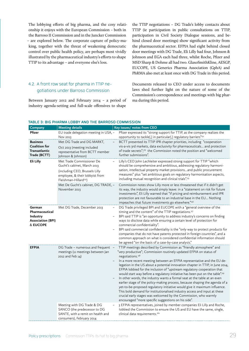<span id="page-28-0"></span>The lobbying efforts of big pharma, and the cosy relationship it enjoys with the European Commission – both in the Barroso II Commission and in the Juncker Commission – are explored below. The corporate capture of policy-making, together with the threat of weakening democratic control over public health policy, are perhaps most vividly illustrated by the pharmaceutical industry's efforts to shape TTIP to its advantage – and everyone else's loss.

the TTIP negotiations – DG Trade's lobby contacts about TTIP (ie participation in public consultations on TTIP, participation in Civil Society Dialogue sessions, and behind closed door meetings) show significant activity from the pharmaceutical sector. EFPIA had eight behind closed door meetings with DG Trade, Eli Lilly had four, Johnson & Johnson and EGA each had three, whilst Roche, Pfizer and MSD Sharp & Dohme all had two. GlaxoSmithKline, AESGP, EUCOPE, US Generics Pharma Association (GphA) and PhRMA also met at least once with DG Trade in this period.

## 4.2. A front row seat for pharma in TTIP negotiations under Barroso Commission

Between January 2012 and February 2014 – a period of industry agenda-setting and full-scale offensives to shape

Documents released to CEO under access to documents laws shed further light on the nature of some of the Commission's correspondence and meetings with big pharma during this period.

#### **TABLE 3: BIG PHARMA LOBBY AND THE BARROSO COMMISSION**

| Company                                                                      | <b>Meeting details</b>                                                                                                                                              | Key issues/ notes from CEO                                                                                                                                                                                                                                                                                                                                                                                                                                                                                                                                                                                                                                                                                                                                                                                                                                                                                                                                    |
|------------------------------------------------------------------------------|---------------------------------------------------------------------------------------------------------------------------------------------------------------------|---------------------------------------------------------------------------------------------------------------------------------------------------------------------------------------------------------------------------------------------------------------------------------------------------------------------------------------------------------------------------------------------------------------------------------------------------------------------------------------------------------------------------------------------------------------------------------------------------------------------------------------------------------------------------------------------------------------------------------------------------------------------------------------------------------------------------------------------------------------------------------------------------------------------------------------------------------------|
| Pfizer                                                                       | EU trade delegation meeting in USA, -<br>Nov 2013                                                                                                                   | Pfizer expressed its "strong support for TTIP, as the company realizes the<br>opportunity to tackle[,] in particular[,] regulatory barriers"152                                                                                                                                                                                                                                                                                                                                                                                                                                                                                                                                                                                                                                                                                                                                                                                                               |
| <b>Business</b><br><b>Coalition for</b><br>Transatlantic<br>Trade (BCTT)     | Met DG Trade and DG MARKT,<br>Oct 2013 (meeting included<br>representative from BCTT member<br>Johnson & Johnson)                                                   | BCTT presented its TTIP IPR chapter priorities, including "cooperation<br>vis-a-vis 3rd markets, data exclusivity for pharmaceuticals and protection<br>of trade secrets"; <sup>153</sup> the Commission noted the position and "welcomed<br>further submissions".                                                                                                                                                                                                                                                                                                                                                                                                                                                                                                                                                                                                                                                                                            |
| Eli Lilly                                                                    | Met Trade Commissioner De<br>Gucht's cabinet, March 2013<br>(including CEO, Brussels Lilly<br>employee, & their lobbyist from<br>Fleishman-Hillard <sup>154</sup> ) | Lilly's CEO John Lechleiter expressed strong support for TTIP "which<br>should be comprehensive and ambitious, addressing regulatory harmoni-<br>sation, intellectual property market provisionsand public procurement<br>measures" plus "set ambitious goals on regulatory harmonisation aspects,<br>including mutual recognition and clinical trials". <sup>155</sup>                                                                                                                                                                                                                                                                                                                                                                                                                                                                                                                                                                                       |
|                                                                              | Met De Gucht's cabinet, DG TRADE, -<br>November 2013                                                                                                                | Commission notes show Lilly more or less threatened that if it didn't get<br>its way, the industry would simply leave: in a "statement on risk for future<br>investments", Eli Lilly warned that "if pricing and reimbursement and IPR<br>protection are not favourable to an industrial base in the EU Nothing<br>impeaches that future investments go elsewhere." <sup>156</sup>                                                                                                                                                                                                                                                                                                                                                                                                                                                                                                                                                                            |
| German<br>Pharmaceutical<br>Industry<br><b>Association (BPI)</b><br>& EUCOPE | Met DG Trade, December 2013                                                                                                                                         | DG Trade privileged BPI and EUCOPE with a "general overview of the<br>timing and the content" of the TTIP negotiations. <sup>157</sup><br>BPI said TTIP is "an opportunity to address industry's concerns on finding<br>ways to disclose data while ensuring a certain level of protection for<br>commercial confidentiality".<br>BPI said commercial confidentiality is the "only way to protect products for<br>companies that do not have patents protected in foreign countries", and a<br>common approach on what is considered confidential information should<br>be agreed "on the basis of a case-by-case analysis."                                                                                                                                                                                                                                                                                                                                  |
| <b>EFPIA</b>                                                                 | DG Trade - numerous and frequent<br>meetings (11 meetings between Jan<br>2012 and Feb 14)                                                                           | TTIP meetings described by Commission as "friendly atmosphere" and<br>"very productive"; Commission routinely updated EFPIA on status of<br>negotiations. <sup>158</sup><br>In a more recent meeting between an EFPIA representative and the EU de-<br>legation in the US about a potential innovation chapter in TTIP, in June 2014,<br>EFPIA lobbied for the inclusion of "upstream regulatory cooperation that<br>would start way before a regulatory initiative has been put on the table". <sup>159</sup><br>In other words, the industry wants a formal seat at the table at an even<br>earlier stage of the policy-making process, because shaping the agenda of a<br>yet-to-be-proposed regulatory initiative would give it maximum influence.<br>This bold demand for institutionalised industry access and input at these<br>crucial early stages was welcomed by the Commission, who warmly<br>encouraged "more specific suggestions on his side". |
|                                                                              | Meeting with DG Trade & DG<br>SANCO (the predecessor to DG<br>SANTE, with a remit on health and<br>consumers), February 2014                                        | 3 EFPIA representatives, joined by member companies Eli Lilly and Roche,<br>lobbied the Commission to ensure the US and EU have the same, single,<br>clinical data requirements. <sup>160</sup>                                                                                                                                                                                                                                                                                                                                                                                                                                                                                                                                                                                                                                                                                                                                                               |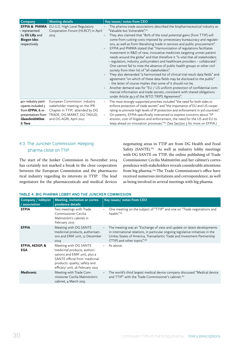<span id="page-29-0"></span>

| Company                                                                                                           | <b>Meeting details</b>                                                                                                                                     | Key issues/ notes from CEO                                                                                                                                                                                                                                                                                                                                                                                                                                                                                                                                                                                                                                                                                                                                                                                                                                                                                                                                                                                                                                                                                                                                                                                                                                                           |
|-------------------------------------------------------------------------------------------------------------------|------------------------------------------------------------------------------------------------------------------------------------------------------------|--------------------------------------------------------------------------------------------------------------------------------------------------------------------------------------------------------------------------------------------------------------------------------------------------------------------------------------------------------------------------------------------------------------------------------------------------------------------------------------------------------------------------------------------------------------------------------------------------------------------------------------------------------------------------------------------------------------------------------------------------------------------------------------------------------------------------------------------------------------------------------------------------------------------------------------------------------------------------------------------------------------------------------------------------------------------------------------------------------------------------------------------------------------------------------------------------------------------------------------------------------------------------------------|
| <b>EFPIA &amp; PhRMA</b><br>- represented<br>by <b>Eli Lilly</b> and<br><b>Biogen Idec</b><br>respectively        | EU-U.S. High Level Regulatory<br>Cooperation Forum (HLRCF) in April<br>2013                                                                                | The pharma trade associations described the biopharmaceutical industry as<br>"Valuable but Vulnerable". <sup>161</sup><br>They also claimed that "80% of the total potential gains [from TTIP] will<br>come from cutting costs imposed by unnecessary bureaucracy and regulati-<br>ons, as well as from liberalizing trade in services and public procurement".<br>EFPIA and PhRMA stated that "Harmonization of regulations facilitates<br>$\qquad \qquad -$<br>investment in R&D of new, innovative medicines targeting unmet patient<br>needs around the globe" and that therefore it "is vital that all stakeholders<br>- regulators, industry, policymakers and healthcare providers - collaborate".<br>One cannot fail to note the absence of public health groups or other civil<br>society from their list of "all stakeholders".<br>They also demanded "a harmonized list of clinical trial result data fields" and<br>agreement "on which of these data fields may be disclosed to the public"<br>- the latter of course implies that some of it should not be.<br>Another demand was for "EU / US uniform protection of confidential com-<br>mercial information and trade secrets, consistent with shared obligations<br>under Article 39.3 of the WTO TRIPS Agreement". |
| 40+ industry parti-<br>cipants included 3<br>from EFPIA, & re-<br>presentatives from<br>GlaxoSmithKline<br>& Teva | European Commission industry<br>stakeholder meeting on the IPR<br>Chapter in TTIP, attended by DG<br>TRADE, DG MARKT, DG TAXUD,<br>and DG AGRI, April 2012 | The most strongly supported priorities included "the need for both sides to<br>enforce protection of trade secrets" and "the importance of EU and US coope-<br>rating to promote high levels of IP protection and enforcement in 3rd countries".<br>On patents, EFPIA specifically intervened to express concerns about "IP<br>erosion, cost of litigation and enforcement, the need for the US and EU to<br>keep ahead on innovation processes."162 (See Section 3 for more on EFPIA.)                                                                                                                                                                                                                                                                                                                                                                                                                                                                                                                                                                                                                                                                                                                                                                                              |

## 4.3.The Juncker Commission: Keeping pharma close on TTIP

The start of the Junker Commission in November 2014 has certainly not marked a break in the close cooperation between the European Commission and the pharmaceutical industry regarding its interests in TTIP. The lead negotiators for the pharmaceuticals and medical devices

negotiating areas in TTIP are from DG Health and Food Safety (SANTE).<sup>163</sup> As well as industry lobby meetings with DG SANTE on TTIP, the online publishing of Trade Commissioner Cecilia Malmström and her cabinet's correspondence with stakeholders reveals considerable attentions from big pharma.<sup>164</sup> The Trade Commissioner's office have received numerous invitations and correspondence, as well as being involved in several meetings with big pharma.

| Company / lobbyist<br>/ association | Meeting, invitation or corres-<br>pondence details                                                                                                                                             | Key issues/ notes from CEO                                                                                                                                                                                                                                                                  |
|-------------------------------------|------------------------------------------------------------------------------------------------------------------------------------------------------------------------------------------------|---------------------------------------------------------------------------------------------------------------------------------------------------------------------------------------------------------------------------------------------------------------------------------------------|
| <b>EFPIA</b>                        | Two meetings with Trade<br>Commissioner Cecilia<br>Malmström's cabinet in<br>February 2015                                                                                                     | One meeting on the subject of "TTIP" and one on "Trade negotiations and<br>$\qquad \qquad -$<br>health."165                                                                                                                                                                                 |
| <b>EFPIA</b>                        | Meeting with DG SANTE<br>'medicinal products, authorisati-<br>ons and EMA' unit, 12 December<br>2014                                                                                           | The meeting was an "Exchange of view and update on latest developments<br>$\qquad \qquad -$<br>in international relations, in particular ongoing legislative initiatives in the<br>Unites States of America, Transatlantic Trade and Investment Partnership<br>(TTIP) and other topics".166 |
| EFPIA, AESGP, &<br>EGA              | Meeting with DG SANTE<br>'medicinal products, authori-<br>sations and EMA' unit, plus a<br>SANTE official from 'medicinal<br>products: quality, safety and<br>efficacy' unit, 16 February 2015 | As above.<br>$-$                                                                                                                                                                                                                                                                            |
| <b>Medtronic</b>                    | Meeting with Trade Com-<br>missioner Cecilia Malmström's<br>cabinet, 4 March 2015                                                                                                              | The world's third largest medical device company discussed "Medical device<br>$\qquad \qquad -$<br>and TTIP" with the Trade Commissioner's cabinet. <sup>167</sup>                                                                                                                          |

#### **TABLE 4: BIG PHARMA LOBBY AND THE JUNCKER COMMISSION**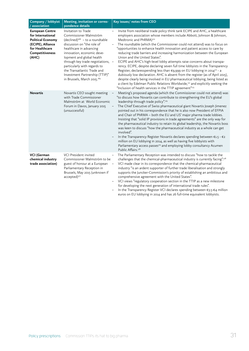| Company / lobbyist<br>/ association                                                                                                        | Meeting, invitation or corres-<br>pondence details                                                                                                                                                                                                                                                                                                                            | Key issues/ notes from CEO                                                                                                                                                                                                                                                                                                                                                                                                                                                                                                                                                                                                                                                                                                                                                                                                                                                                                                                                                                                                                                              |
|--------------------------------------------------------------------------------------------------------------------------------------------|-------------------------------------------------------------------------------------------------------------------------------------------------------------------------------------------------------------------------------------------------------------------------------------------------------------------------------------------------------------------------------|-------------------------------------------------------------------------------------------------------------------------------------------------------------------------------------------------------------------------------------------------------------------------------------------------------------------------------------------------------------------------------------------------------------------------------------------------------------------------------------------------------------------------------------------------------------------------------------------------------------------------------------------------------------------------------------------------------------------------------------------------------------------------------------------------------------------------------------------------------------------------------------------------------------------------------------------------------------------------------------------------------------------------------------------------------------------------|
| <b>European Centre</b><br>for International<br><b>Political Economy</b><br>(ECIPE), Alliance<br>for Healthcare<br>Competitiveness<br>(AHC) | Invitation to Trade<br>Commissioner Malmström<br>$(decimal)^{168}$ - to a roundtable<br>discussion on "the role of<br>healthcare in advancing<br>innovation, economic deve-<br>lopment and global health<br>through key trade negotiations, -<br>particularly with regards to<br>the Transatlantic Trade and<br>Investment Partnership (TTIP)"<br>in Brussels, March 2015.169 | Invite from neoliberal trade policy think tank ECIPE and AHC, a healthcare<br>employers association whose members include Abbott, Johnson & Johnson,<br>Medtronic and PhRMA) <sup>170</sup><br>The roundtable (which the Commissioner could not attend) was to focus on<br>$\qquad \qquad -$<br>"opportunities to enhance health innovation and patient access to care by<br>reducing trade barriers and increasing harmonization between the European<br>Union and the United States".<br>ECIPE and AHC's high-level lobby attempts raise concerns about transpa-<br>rency. ECIPE, despite declaring seven full time lobbyists in the Transparency<br>Register, declaresspending less than €9,999 on EU lobbying in 2014 <sup>171</sup> - a<br>dubiously low declaration. AHC is absent from the register (as of April 2015),<br>despite clearly being involved in EU pharmaceutical lobbying, being listed as<br>a client by Edelman Public Relations Worldwide, <sup>172</sup> and explicitly seeking the<br>"Inclusion of health services in the TTIP agreement"173 |
| <b>Novartis</b>                                                                                                                            | Novartis CEO sought meeting<br>with Trade Commissioner<br>Malmström at World Economic<br>Forum in Davos, January 2015<br>(unsuccessful)                                                                                                                                                                                                                                       | Meeting's proposed agenda (which the Commissioner could not attend) was<br>"to discuss how Novartis can contribute to strengthening the EU's global<br>leadership through trade policy". <sup>174</sup><br>The Chief Executive of Swiss pharmaceutical giant Novartis Joseph Jimenez<br>pointed out in his correspondence that he is also now President of EFPIA<br>and Chair of PhRMA - both the EU and US' major pharma trade lobbies.<br>Insisting that "solid IP provisions in trade agreements" are the only way for<br>the pharmaceutical industry to retain its global leadership, the Novartis boss<br>was keen to discuss "how the pharmaceutical industry as a whole can get<br>involved".<br>In the Transparency Register Novartis declares spending between €1.5 - €2<br>million on EU lobbying in 2014, as well as having five lobbyists with<br>Parliamentary access passes <sup>175</sup> and employing lobby consultancy Acumen<br>Public Affairs. <sup>176</sup>                                                                                       |
| <b>VCI (German</b><br>chemical industry<br>trade association)                                                                              | <b>VCI President invited</b><br>Commissioner Malmström to be<br>guest of honour at a European<br>Parliamentary Reception in<br>Brussels, May 2015 (unknown if<br>accepted) <sup>177</sup>                                                                                                                                                                                     | The Parliamentary Reception was intended to discuss "how to tackle the<br>challenges that the chemical-pharmaceutical industry is currently facing".178<br>VCI made clear in its correspondence that the chemical-pharmaceutical<br>industry "is an ardent supporter of further trade liberalisation and strongly<br>supports the Juncker-Commission's priority of establishing an ambitious and<br>comprehensive agreement with the United States".<br>VCI views "regulatory cooperation section in the TTIP as a new milestone<br>for developing the next generation of international trade rules".<br>In the Transparency Register VCI declares spending between €3.5-€4 million                                                                                                                                                                                                                                                                                                                                                                                     |

euros on EU lobbying in 2014 and has 26 full-time equivalent lobbyists.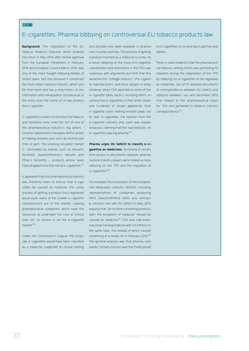#### BOX 7

## E-cigarettes: Pharma lobbying on controversial EU tobacco products law

**Background:** The negotiation of the EU Tobacco Products Directive, which entered into force in May 2014 after formal approval from the European Parliament in February 2014 and European Council March 2014, was one of the most fraught lobbying battles of recent years. Not only because it concerned the multi-billion tobacco industry, which profits from harm and has a long history of misinformation and manipulation, but because of the entry onto the scene of a new product, the e-cigarette.

E-cigarettes contain nicotine but not tobacco, and therefore cross onto the turf of one of the pharmaceutical industry's big sellers – nicotine replacement therapies (NRTs) aimed at helping smokers quit, such as nicotine patches or gum. The smoking cessation market is dominated by brands such as Novartis' Nicotinell, GlaxoSmithKline's NiQuitin and Pfizer's Nicorette – products whose sales have dropped since the rise of e-cigarettes.<sup>[179](#page-41-0)</sup>

It appeared that the pharmaceutical industry was therefore keen to ensure that e-cigarettes be classed as medicine; the costly process of getting a product thus registered would push many of the smaller e-cigarette manufacturers out of the market. Leaving pharmaceutical companies, which have the resources to undertake the cost of clinical trials etc, to muscle in on the e-cigarette market<sup>[180](#page-41-1)</sup>

Under the Commission's original TPD proposals, e-cigarettes would have been classified as a medicine, subjected to clinical testing

and possibly only been available in pharmacies in some countries. The process of getting a product licensed as a medicine is costly. As a result, lobbying on the issue of e-cigarette classification and restrictions in the TPD was voracious, with arguments put forth that this would kill the "cottage-industry" of e-cigarette manufacturers, and force people to keep smoking. When CEO reported on some of the e-cigarette lobby tactics, including MEPs receiving free e-cigarettes in their letter boxes, and hundreds of emails apparently from e-cigarette users making emotive pleas not to "ban" e-cigarettes, the reaction from the e-cigarette industry and users was equally voracious, claiming that the 'real lobbyists' on e-cigarettes was big pharma.<sup>[181](#page-41-2)</sup>

**Pharma urges DG SANCO to classify e-cigarettes as medicines:** According to results from access to documents requests, pharmaceutical industry players were indeed actively lobbying on the TPD and the regulation of e-cigarettes.<sup>[182](#page-41-3)</sup>

For example, the Association of the European Self-Medication Industry (AESGP), including representatives of companies producing NRTs GlaxoSmithKline (GSK) and Johnson & Johnson met with DG SANCO in May 2013, arguing that "all nicotine containing products (with the exception of tobacco)" should be classed as medicine.<sup>183</sup> GSK also had extensive email correspondence with DG SANCO on the same topic, the release of which caused something of a media stir in February 2014.[184](#page-41-5) The general analysis was that pharma companies' primary concern was the threat posed

by e-cigarettes to nicotine gum, patches and tablets.

There is clear evidence that the pharmaceutical industry, among others, was promoting its interests during the negotiation of the TPD by lobbying for e-cigarettes to be regulated as medicines. Out of 41 released documents of correspondence between DG SANCO and lobbyists between July and December 2013, nine related to the pharmaceutical industry. The rest pertained to tobacco industry correspondence.[185](#page-41-6)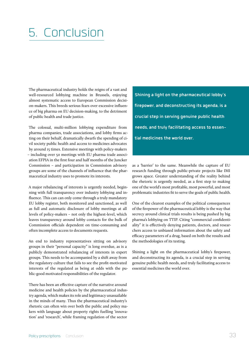# <span id="page-32-0"></span>5. Conclusion

The pharmaceutical industry holds the reigns of a vast and well-resourced lobbying machine in Brussels, enjoying almost systematic access to European Commission decision-makers. This breeds serious fears over excessive influence of big pharma on EU decision-making, to the detriment of public health and trade justice.

The colossal, multi-million lobbying expenditure from pharma companies, trade associations, and lobby firms acting on their behalf, dramatically dwarfs the spending of civil society public health and access to medicines advocates by around 15 times. Extensive meetings with policy-makers – including over 50 meetings with EU pharma trade association EFPIA in the first four and half months of the Juncker Commission – and participation in Commission advisory groups are some of the channels of influence that the pharmaceutical industry uses to promote its interests.

A major rebalancing of interests is urgently needed, beginning with full transparency over industry lobbying and influence. This can can only come through a truly mandatory EU lobby register, both monitored and sanctioned, as well as full and automatic disclosure of lobby meetings at all levels of policy-makers – not only the highest-level, which leaves transparency around lobby contacts for the bulk of Commission officials dependent on time-consuming and often incomplete access to documents requests.

An end to industry representatives sitting on advisory groups in their "personal capacity" is long overdue, as is a publicly demonstrated rebalancing of interests in expert groups. This needs to be accompanied by a shift away from the regulatory culture that fails to see the profit-motivated interests of the regulated as being at odds with the public-good motivated responsibilities of the regulator.

There has been an effective capture of the narrative around medicine and health policies by the pharmaceutical industry agenda, which makes its role and legitimacy unassailable in the minds of many. Thus the pharmaceutical industry's rhetoric can often win over both the public and policy makers with language about property rights fuelling 'innovation' and 'research', while framing regulation of the sector

**Shining a light on the pharmaceutical lobby's firepower, and deconstructing its agenda, is a crucial step in serving genuine public health needs, and truly facilitating access to essential medicines the world over.**

as a 'barrier' to the same. Meanwhile the capture of EU research funding through public-private projects like IMI grows apace. Greater understanding of the reality behind the rhetoric is urgently needed, as a first step to making one of the world's most profitable, most powerful, and most problematic industries fit to serve the goals of public health.

One of the clearest examples of the political consequences of the firepower of the pharmaceutical lobby is the way that secrecy around clinical trials results is being pushed by big pharma's lobbying on TTIP. Citing "commercial confidentiality" it is effectively denying patients, doctors, and researchers access to unbiased information about the safety and efficacy parameters of a drug, based on both the results and the methodologies of its testing.

Shining a light on the pharmaceutical lobby's firepower, and deconstructing its agenda, is a crucial step in serving genuine public health needs, and truly facilitating access to essential medicines the world over.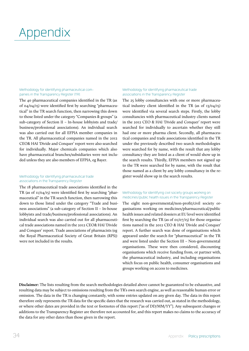# <span id="page-33-1"></span><span id="page-33-0"></span>Appendix

## Methodology for identifying pharmaceutical com- panies in the Transparency Register (TR):

The 40 pharmaceutical companies identified in the TR (as of 04/04/15) were identified first by searching "pharmaceutical" in the TR search function, then narrowing this down to those listed under the category "Companies & groups" (a sub-category of Section II – In-house lobbyists and trade/ business/professional associations). An individual search was also carried out for all EFPIA member companies in the TR. All pharmaceutical companies named in the 2012 CEO& HAI 'Divide and Conquer' report were also searched for individually. Major chemicals companies which also have pharmaceutical branches/subsidiaries were not included unless they are also members of EFPIA, eg Bayer.

#### Methodology for identifying pharmaceutical trade associations in the Transparency Register

The 18 pharmaceutical trade associations identified in the TR (as of 11/04/15) were identified first by searching "pharmaceutical" in the TR search function, then narrowing this down to those listed under the category "Trade and business associations" (a sub-category of Section II – In-house lobbyists and trade/business/professional associations). An individual search was also carried out for all pharmaceutical trade associations named in the 2012 CEO& HAI 'Divide and Conquer' report. Trade associations of pharmacists (eg the Royal Pharmaceutical Society of Great Britain (RPS)) were not included in the results.

#### Methodology for identifying pharmaceutical trade associations in the Transparency Register

The 25 lobby consultancies with one or more pharmaceutical industry client identified in the TR (as of 13/04/15) were identified via several search steps. Firstly, the lobby consultancies with pharmaceutical industry clients named in the 2012 CEO & HAI 'Divide and Conquer' report were searched for individually to ascertain whether they still had one or more pharma client. Secondly, all pharmaceutical companies and trade associations identified in the TR under the previously described two search methodologies were searched for by name, with the result that any lobby consultancy they are listed as a client of would show up in the search results. Thirdly, EFPIA members not signed up to the TR were searched for by name, with the result that those named as a client by any lobby consultancy in the register would show up in the search results.

#### Methodology for identifying civil society groups working on medicines/public health issues in the Transparency Register

The eight non-governmental/non-profit/civil society organisations working on medicines/pharmaceutical/public health issues and related dossiers at EU level were identified first by searching the TR (as of  $oI/O7/I5$ ) for those organisations named in the 2012 CEO & HAI 'Divide and Conquer' report. A further search was done of organisations which appeared under the search for "pharmaceutical" in the TR and were listed under the Section III – Non-governmental organisations. These were then considered, discounting organisations which receive funding from, or partner with, the pharmaceutical industry, and including organisations which focus on public health, consumer organisations and groups working on access to medicines.

**Disclaimer:** The lists resulting from the search methodologies detailed above cannot be guaranteed to be exhaustive, and resulting data may be subject to omissions resulting from the TR's own search engine, as well as reasonable human error or omission. The data in the TR is changing constantly, with some entries updated on any given day. The data in this report therefore only represents the TR data for the specific dates that the research was carried out, as stated in the methodology, or where other dates are provided in the text or footnotes of this report ["as of DD/MM/YY"]. Any subsequent changes or additions to the Transparency Register are therefore not accounted for, and this report makes no claims to the accuracy of the data for any other dates than those given in the report.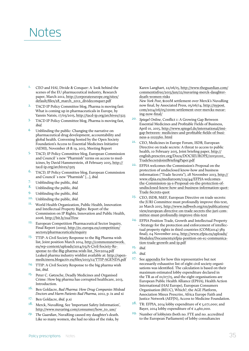## <span id="page-34-0"></span>Notes

- <span id="page-34-1"></span>1. CEO and HAI, Divide & Conquer: A look behind the scenes of the EU pharmaceutical industry, Research paper, March 2012, [http://corporateeurope.org/sites/](http://corporateeurope.org/sites/default/files/28_march_2012_divideconquer.pdf) [default/files/28\\_march\\_2012\\_divideconquer.pdf](http://corporateeurope.org/sites/default/files/28_march_2012_divideconquer.pdf)
- <span id="page-34-2"></span>2. TACD IP Policy Committee blog, Pharma is moving fast: What is coming up in pharmaceuticals in Europe, by Yannis Natsis, 17/03/2015,<http://tacd-ip.org/archives/1323>
- <span id="page-34-3"></span>3. TACD IP Policy Committee blog, Pharma is moving fast, *ibid.*
- 4. Unblinding the public: Changing the narrative on pharmaceutical drug development, accountability and global health. Convening hosted by the Open Society Foundation's Access to Essential Medicines Initiative (AEMI), November 18 & 19, 2013, Meeting Report
- <span id="page-34-4"></span>5. TACD, IP Policy Committee blog, European Commission and Council´s new "Pharmish" terms on access to medicines, by David Hammerstein, 18 February 2015, [http://](http://tacd-ip.org/archives/1305) [tacd-ip.org/archives/1305](http://tacd-ip.org/archives/1305)
- <span id="page-34-5"></span>6. TACD, IP Policy Committee blog, European Commission and Council´s new "Pharmish" […], *ibid.*
- 7. Unblinding the public, *ibid.*
- <span id="page-34-6"></span>8. Unblinding the public, *ibid.*
- <span id="page-34-7"></span>9. Unblinding the public, *ibid.*
- <span id="page-34-8"></span>10. Unblinding the public, *ibid.*
- <span id="page-34-9"></span>11. World Health Organization, Public Health, Innovation and Intellectual Property Rights: Report of the Commission on IP Rights, Innovation and Public Health, 2006, <http://bit.ly/1uaTf0w>
- <span id="page-34-10"></span>12. European Competition Pharmaceutical Sector Inquiry, Final Report (2009), [http://ec.europa.eu/competition/](http://ec.europa.eu/competition/sectors/pharmaceuticals/inquiry) [sectors/pharmaceuticals/inquiry](http://ec.europa.eu/competition/sectors/pharmaceuticals/inquiry)
- 13. TTIP: A Civil Society Response to the Big Pharma wish list, Joint position March 2014, [http://commonsnetwork.](http://commonsnetwork. eu/wp-content/uploads/2014/03/A-Civil-Society-Re- sponse-to-the-Big-pharma-wish-list_Nov2014.pdf)  [eu/wp-content/uploads/2014/03/A-Civil-Society-Re](http://commonsnetwork. eu/wp-content/uploads/2014/03/A-Civil-Society-Re- sponse-to-the-Big-pharma-wish-list_Nov2014.pdf)[sponse-to-the-Big-pharma-wish-list\\_Nov2014.pdf](http://commonsnetwork. eu/wp-content/uploads/2014/03/A-Civil-Society-Re- sponse-to-the-Big-pharma-wish-list_Nov2014.pdf) Leaked pharma industry wishlist available at: [http://open](http://open- medicineeu.blogactiv.eu/files/2013/12/TTIP-AGENDA.pdf)[medicineeu.blogactiv.eu/files/2013/12/TTIP-AGENDA.pdf](http://open- medicineeu.blogactiv.eu/files/2013/12/TTIP-AGENDA.pdf)
- <span id="page-34-11"></span>14. TTIP: A Civil Society Response to the big pharma wish list, *ibid.*
- <span id="page-34-12"></span>15. Peter C. Gøtzsche, Deadly Medicines and Organised Crime: How big pharma has corrupted healthcare, 2013, Introduction.
- <span id="page-34-13"></span>16. Ben Goldacre, *Bad Pharma: How Drug Companies Mislead Doctors and Harm Patients Bad Pharma*, 2012, p. ix and xi
- <span id="page-34-14"></span>17. Ben Goldacre, *ibid.* p.xi
- <span id="page-34-15"></span>18. Merck, NuvaRing, See 'Important Safety Information', [http://www.nuvaring.com/consumer/how\\_to\\_use/](http://www.nuvaring.com/consumer/how_to_use/)
- <span id="page-34-16"></span>*19. The Guardian*, NuvaRing caused my daughter's death. Like so many women, she had no idea of the risks, by

Karen Langhart, 22/06/15, [http://www.theguardian.com/](http://www.theguardian.com/commentisfree/2015/jun/22/nuvaring-merck-daughter-death-women-risks) [commentisfree/2015/jun/22/nuvaring-merck-daughter](http://www.theguardian.com/commentisfree/2015/jun/22/nuvaring-merck-daughter-death-women-risks)[death-women-risks](http://www.theguardian.com/commentisfree/2015/jun/22/nuvaring-merck-daughter-death-women-risks)

*New York Post*, \$100M settlement over Merck's NuvaRing now final, by Associated Press, 05/06/14, [http://nypost.](http://nypost.com/2014/06/05/100m-settlement-over-mercks-nuvaring-now-final/) [com/2014/06/05/100m-settlement-over-mercks-nuvar](http://nypost.com/2014/06/05/100m-settlement-over-mercks-nuvaring-now-final/)[ing-now-final/](http://nypost.com/2014/06/05/100m-settlement-over-mercks-nuvaring-now-final/)

- <span id="page-34-17"></span>*20. Spiegel Online*, Conflict 1: A Growing Gap Between Essential Medicines and Profitable Fields of Business, April 01, 2015, [http://www.spiegel.de/international/imi](http://www.spiegel.de/international/imi-gap-between- medicines-and-profitable-fields-of-business-a-1025560. html)[gap-between- medicines-and-profitable-fields-of-busi](http://www.spiegel.de/international/imi-gap-between- medicines-and-profitable-fields-of-business-a-1025560. html)[ness-a-1025560. html](http://www.spiegel.de/international/imi-gap-between- medicines-and-profitable-fields-of-business-a-1025560. html)
- <span id="page-34-18"></span>21. CEO, Medicines in Europe Forum, ISDB, European Directive on trade secrets: A threat to access to public health, 10 February 2015, Joint briefing paper, [http://](http://english.prescrire.org/Docu/DOCSEUROPE/20150210_TradeSecretsJointBriefingPaper.pdf) [english.prescrire.org/Docu/DOCSEUROPE/20150210\\_](http://english.prescrire.org/Docu/DOCSEUROPE/20150210_TradeSecretsJointBriefingPaper.pdf) [TradeSecretsJointBriefingPaper.pdf](http://english.prescrire.org/Docu/DOCSEUROPE/20150210_TradeSecretsJointBriefingPaper.pdf)
- <span id="page-34-19"></span>22. EFPIA welcomes the Commission's Proposal on the protection of undisclosed know-how and business information ("Trade Secrets"), 28 November 2013, [http://](http://www.efpia.eu/mediaroom/129/44/EFPIA-welcomes-the-Commission-39-s-Proposal-on-the-protection-of-undisclosed-know-how-and-business-information-quot-Trade-Secrets-quot) [www.efpia.eu/mediaroom/129/44/EFPIA-welcomes](http://www.efpia.eu/mediaroom/129/44/EFPIA-welcomes-the-Commission-39-s-Proposal-on-the-protection-of-undisclosed-know-how-and-business-information-quot-Trade-Secrets-quot)[the-Commission-39-s-Proposal-on-the-protection-of](http://www.efpia.eu/mediaroom/129/44/EFPIA-welcomes-the-Commission-39-s-Proposal-on-the-protection-of-undisclosed-know-how-and-business-information-quot-Trade-Secrets-quot)[undisclosed-know-how-and-business-information-quot-](http://www.efpia.eu/mediaroom/129/44/EFPIA-welcomes-the-Commission-39-s-Proposal-on-the-protection-of-undisclosed-know-how-and-business-information-quot-Trade-Secrets-quot)[Trade-Secrets-quot](http://www.efpia.eu/mediaroom/129/44/EFPIA-welcomes-the-Commission-39-s-Proposal-on-the-protection-of-undisclosed-know-how-and-business-information-quot-Trade-Secrets-quot)
- <span id="page-34-20"></span>23. CEO, ISDB, MiEF, European Directive on trade secrets: the JURI Committee must profoundly improve this text, 20 March 2015, [http://www.isdbweb.org/en/publications/](http://www.isdbweb.org/en/publications/view/european-directive-on-trade-secrets-the-juri-committee-must-profoundly-improve-this-text) [view/european-directive-on-trade-secrets-the-juri-com](http://www.isdbweb.org/en/publications/view/european-directive-on-trade-secrets-the-juri-committee-must-profoundly-improve-this-text)[mittee-must-profoundly-improve-this-text](http://www.isdbweb.org/en/publications/view/european-directive-on-trade-secrets-the-juri-committee-must-profoundly-improve-this-text)
- <span id="page-34-21"></span>24. EFPIA Position Trade, Growth and Intellectual Property – Strategy for the protection and enforcement of intellectual property rights in third countries (COM(2014) 389 final), 04 November 2014, [http://www.efpia.eu/uploads/](http://www.efpia.eu/uploads/Modules/Documents/efpia-position-on-ec-communication-trade-growth-and-ip.pdf) [Modules/Documents/efpia-position-on-ec-communica](http://www.efpia.eu/uploads/Modules/Documents/efpia-position-on-ec-communication-trade-growth-and-ip.pdf)[tion-trade-growth-and-ip.pdf](http://www.efpia.eu/uploads/Modules/Documents/efpia-position-on-ec-communication-trade-growth-and-ip.pdf)
- <span id="page-34-22"></span>25. *ibid.*
- <span id="page-34-23"></span>26. *ibid.*
- <span id="page-34-24"></span> $27.$  See [appendix](#page-33-1) for how this representative but not necessarily exhaustive list of eight civil society organisations was identified. The calculation is based on their maximum estimated lobby expenditure declared in the TR as of 01/07/15, and the eight organisations are European Public Health Alliance (EPHA), Health Action International (HAI Europe), European Consumers Organisation (BEUC), Which?, the AGE Platform, Association Mieux Prescrire, Africa Europe Faith and Justice Network (AEFJN), Access to Medicine Foundation.
- <span id="page-34-25"></span><sup>28</sup>. TR: EFPIA, 2014 lobby expenditure of  $\epsilon$  5,071,000; and Bayer, 2014 lobby expenditure of  $\epsilon$  2.460,000.
- <span id="page-34-26"></span>29. Number of lobbyists (both no. FTE and no. accredited to the European Parliament) of lobby consultancies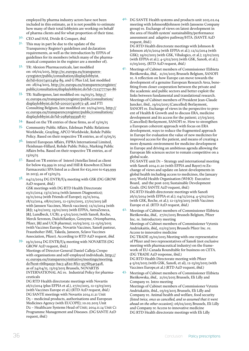employed by pharma industry actors have not been included in this estimate, as it is not possible to estimate how many of their total lobbyists are working on behalf of pharma clients and for what proportion of their time.

- <span id="page-35-0"></span>30. CEO and HAI, Divide & Conquer, *ibid.*
- <span id="page-35-1"></span> $3<sup>I</sup>$ . This may in part be due to the update of the Transparency Register's guidelines and declaration requirements, as well as the introduction by EFPIA of guidelines for its members (which many of the pharmaceutical companies in the register are a member of).
- <span id="page-35-2"></span>32. TR: Alexion Pharmaceuticals, last modified on: 06/02/2015, [http://ec.europa.eu/transparen](http://ec.europa.eu/transparencyregister/public/consultation/displaylobbyist.do?id=611074012464-89)[cyregister/public/consultation/displaylobbyist.](http://ec.europa.eu/transparencyregister/public/consultation/displaylobbyist.do?id=611074012464-89) [do?id=611074012464-89](http://ec.europa.eu/transparencyregister/public/consultation/displaylobbyist.do?id=611074012464-89), and G Plus Ltd, last modified on: 28/04/2015, [http://ec.europa.eu/transparencyregister/](http://ec.europa.eu/transparencyregister/public/consultation/displaylobbyist.do?id=7223777790-86) [public/consultation/displaylobbyist.do?id=7223777790-86](http://ec.europa.eu/transparencyregister/public/consultation/displaylobbyist.do?id=7223777790-86)
- <span id="page-35-3"></span>33. TR: Stallergenes, last modified on: 04/03/15, [http://](http://ec.europa.eu/transparencyregister/public/consultation/displaylobbyist.do?id=200207410672-48) [ec.europa.eu/transparencyregister/public/consultation/](http://ec.europa.eu/transparencyregister/public/consultation/displaylobbyist.do?id=200207410672-48) [displaylobbyist.do?id=200207410672-48,](http://ec.europa.eu/transparencyregister/public/consultation/displaylobbyist.do?id=200207410672-48) and FTI Consulting Belgium, last modified on: 20/04/2015, [http://](http://ec.europa.eu/transparencyregister/public/consultation/displaylobbyist.do?id=29896393398-67) [ec.europa.eu/transparencyregister/public/consultation/](http://ec.europa.eu/transparencyregister/public/consultation/displaylobbyist.do?id=29896393398-67) [displaylobbyist.do?id=29896393398-67](http://ec.europa.eu/transparencyregister/public/consultation/displaylobbyist.do?id=29896393398-67)
- <span id="page-35-4"></span>34. Based on the TR entries of these firms, as of 13/05/15
- <span id="page-35-5"></span>35. Community Public Affairs, Edelman Public Relations Worldwide, Grayling, APCO Worldwide, Rohde Public Policy. Based on their respective TR entries, as of 13/05/15
- <span id="page-35-6"></span>36. Interel European Affairs, FIPRA International Limited, Fleishman-Hillard, Rohde Public Policy, Marking Public Affairs bvba. Based on their respective TR entries, as of 13/05/15
- <span id="page-35-7"></span>37. Based on TR entries of Interel (Astellas listed as client for below  $\epsilon$ 9,999 in 2014) and Hill & Knowlton (Chiesi Farmaceutici SPA listed as a client for €25,000 to €49,999 in 2013), as of 13/05/15.
- 38. 04/12/2014 DG ENTR/F/4 meeting with GSK (DG GROW A2D request, *ibid.)*

GSK meetings with DG RTD Health Directorate 03/11/2014; 13/11/2014 (with Janssen Diagnostics); 19/11/2014 (with Friends of Europe); 25/11/2014, 18/12/2014, 08/01/2015, 12-13/01/2015, 27/01/2015 (all with Janssen Vaccines, Merck vaccines); 12/12/2014 (with J&J); 14/01/2015; 23/01/2015 (with EFPIA, AstraZeneca, J&J, Lundbeck, UCB); 4-5/02/2015 (with Sanofi, Roche, Merck Seronon, DaiichiSankyo, Genzyme, Orionpharma, Pfizer, J&J and UCB pharma); 10/03/2015; 12-13/03/2015 (with Vaccines Europe, Novartis Vaccines, Sanofi pasteur, Fraunhoher IME, Takeda, Janseen, Sclavo Vaccines Association, Pfizer). According to RTD A2D request, *ibid.*

39. 19/11/2014 DG ENTR/F/4 meeting with NOVARTIS (DG GROW A2D request, ibid.) Meetings of Director-General Daniel Calleja Crespo with organisations and self-employed individuals, [http://](http://ec.europa.eu/transparencyinitiative/meetings/meeting.do?host=66b9a93e-bac3-4820-8f21-9576b54e3428) [ec.europa.eu/transparencyinitiative/meetings/meeting.](http://ec.europa.eu/transparencyinitiative/meetings/meeting.do?host=66b9a93e-bac3-4820-8f21-9576b54e3428) [do?host=66b9a93e-bac3-4820-8f21-9576b54e3428,](http://ec.europa.eu/transparencyinitiative/meetings/meeting.do?host=66b9a93e-bac3-4820-8f21-9576b54e3428) as of 24/04/15. 13/03/2015 Brussels, NOVARTIS INTERNATIONAL AG re. Industrial Policy for pharmaceuticals

DG RTD Health directorate meetings with Novartis 26/11/2014 (plus EFPIA et al.), 27/01/2015, 12-13/03/2015 (with Vaccines Europe et al.) (RTD A2D request, *ibid.)* DG SANTE meetings with Novartis 2014.11.21 Unit D5 – medicinal products, authorisations and European Medicines Agency (with EUCOPE); 10.02.2015 Unit D2 – Healthcare Systems Head of Unit; 2014.11.14 Unit C1 Programme Management and Diseases. (DG SANTE A2D request, *ibid.*)

40. DG SANTE Health systems and products unit 2015.02.04 meeting with Johnson&Johnson (with Janssens Company group) re. Exchange of views on latest development in the area of Health system' sustainability/performance assessment and adaptive pathway/HTA. (SANTE A2D request, ibid.)

DG RTD Health directorate meetings with Johnson & Johnson 26/11/2014 (with EFPIA et al.); 12/12/2014 (with GSK); 19/01/2015 (with GSK, Vibalogics, et al.); 23/01/2015 (with EFPIA et al.); 4-5/02/2015 (with GSK, Sanofi, et al.); 11/03/2015. (RTD A2D request, *ibid.)*

41. Meetings of Cabinet members of Commissioner Elżbieta Bieńkowska, *ibid.,* 21/01/2015 Brussels Belgium, SANOFI re. A reflection on how Europe can move towards the development of a genuine European Research Area, benefiting from closer cooperation between the private and the academic and public sectors and better exploit the links between fundamental and translational research. Meetings of Cabinet members of President Jean-Claude Juncker, ibid., 19/02/2015 (Cancelled) Berlaymont, SANOFI re. Exchange of views in the perspective to present of Health & Growth and to discuss ERA, medicine development and its access for the patient; 27/03/2015 (Cancelled) Berlaymont, SANOFI re. How to strengthen a European coherent approach with focus on ERA development, ways to reduce the fragmented approach in Europe for evaluation the value of new medicines for improved access for the patient, and means of creating a more dynamic environment for medicine development in Europe and driving an ambitious agenda allowing the European life sciences sector to remain competitive on a global scale.

DG SANTE unit D1 – Strategy and international meeting with Sanofi 2014.11.20 (with EFPIA and Bayer) re.Exchange of views and update on latest developments in global health including access to medicines, the January 2015 World Health Organisation (WHO) Executive Board, and the post-2015 Sustainable Development Goals. (DG SANTE A2D request, *ibid.*) DG RTD Health directorate meetings with Sanofi 26/11/2014 (with EFPIA et al.); 04/12/2014; 4-5/02/2015 (with GSK, Roche, et al.); 12-13/03/2015 (with Vaccines Europe et al. (RTD A2D request, *ibid.)*

42. Meetings of Cabinet members of Commissioner Elżbieta Bieńkowska, *ibid.,* 27/01/2015 Brussels Belgium, Pfizer Inc. re. Introductory meeting Meetings of Cabinet members of Commissioner Vytenis Andriukaitis, *ibid,,* 02/03/2015 Brussels Pfizer Inc. re. Access to innovative medicine DG TRADE 25/02/2015 Meeting with one representative of Pfizer and two representatives of Sanofi (not exclusive

meeting with pharmaceutical industry) on the framework of EU-Canada Roundtable for business on CETA. (DG TRADE A2D response, ibid.) DG RTD Health Directorate meeting with Pfizer 4-5/02/2015 (with GSK, Sanofi, et al), 12-13/03/2015 (with

Vaccines Europe,et al.) (RTD A2D request, *ibid.)* Meetings of Cabinet members of Commissioner Elżbieta Bieńkowska, *ibid.,* 21/01/2015 Brussels, Eli Lilly and Company re. Intro meeting Meetings of Cabinet members of Commissioner Vytenis Andriukaitis, ibid., 03/03/2015 Brussels, Eli Lilly and Company re. Animal health and welfare, food security *[listed twice, once as cancelled, and so assumed that it went ahead on the other occasion];* 06/02/2015 Brussels, Eli Lilly and Company re Access to innovative medicine DG RTD Health directorate meetings with Eli Lilly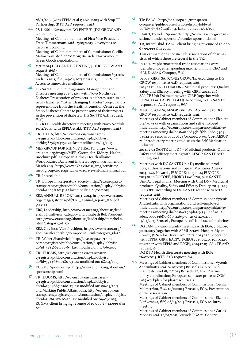26/11/2014 (with EFPIA et al.); 21/01/2015 with Stop TB Partnership. (RTD A2D request, *ibid.)*

- 44. 25/11/2014 Novozymes DG ENTR/F (DG GROW A2D request, *ibid.)* Meetings of Cabinet members of First Vice-President Frans Timmermans, *ibid.,* 25/03/2015 Novozymes re. Circular Economy. Meetings of Cabinet members of Commissioner Cecilia Malmström, *ibid.*, 19/02/2015 Brussels, Novozymes re. Green Goods negotiations.
- 45. 21/11/2014 CELGENE DG ENTR/F/4; (DG GROW A2D request, *ibid.*) Meetings of Cabinet members of Commissioner Vytenis Andriukaitis, *ibid.*, 04/02/2015 Brussels, CELGENE re. Access to innovative medicine
- 46. DG SANTE Unit C1 Programme Management and Diseases meeting 2015.03.05 with Novo Nordisk re. Diabetes Presentation of projects in diabetes, such as our newly launched "Cities Changing Diabetes" project and a representative from the Health Promotion Centre at the Steno Diabetes Center to present some of their projects in the prevention of diabetes. (DG SANTE A2D request, *ibid*.)

DG RTD Health directorate meeting with Novo Nordisk 26/11/2014 (with EFPIA et al.). (RTD A2D request, *ibid.)*

- 47. TR: EKHA, http://ec.europa.eu/transparencyregister/public/consultation/displaylobbyist. do?id=582565214754-24, last modified: 27/04/2015
- 48. MEP GROUP FOR KIDNEY HEALTH, https://www. era-edta.org/images/MEP\_Group\_for\_Kidney\_Health\_ Brochure.pdf; European Kidney Health Alliance, World Kidney Day Event in the European Parliament, 5 March 2013, http://www.ekha.eu/usr\_img/activities/ mep\_group/2013/agenda-wkd2013-event5march\_final.pdf
- 49. TR: Interel, ibid.
- 50. TR: European Respiratory Society, http://ec.europa.eu/ transparencyregister/public/consultation/displaylobbyist. do?id=38091528151-27 last modified 06/02/2015
- 51. ERS, ANNUAL REPORT 2013–2014, http://www.ersnet. org/images/stories/pdf/ERS\_Annual\_report\_1314.pdf p.42-43
- 52. ERS, Leadership, http://www.ersnet.org/about-us/leadership.html?view=category and Elisabeth Bel, President, http://www.ersnet.org/about-us/leadership/item/bel-2. html?category\_id=50
- 53. ERS, Guy Joos, Vice-President, http://www.ersnet.org/ about-us/leadership/item/joos-2.html?category\_id=50
- 54. TR: Weber Shandwick, http://ec.europa.eu/transparencyregister/public/consultation/displaylobbyist. do?id=52836621780-65, last modified on: 12/06/2015
- 55. TR: EUGMS, http://ec.europa.eu/transparencyregister/public/consultation/displaylobbyist. do?id=594468910180-73 last modified on: 08/04/2015,
- 56. EUGMS, Sponsorship, http://www.eugms.org/about-us/ sponsorship.html
- 57. TR: EUGMS, http://ec.europa.eu/transparencyregister/public/consultation/displaylobbyist. do?id=594468910180-73 last modified on: 08/04/2015, and Marking Public Affairs bvba, http://ec.europa.eu/ transparencyregister/public/consultation/displaylobbyist. do?id=56165887498-11, last modified on: 09/03/2015, EUGMS client bringing revenue of 10,000  $\epsilon$  - 24,999  $\epsilon$  in 2014
- 58. TR: EAACI, http://ec.europa.eu/transparencyregister/public/consultation/displaylobbyist. do?id=567788614987-34, last modified 11/02/2015
- 59. EAACI, Founder Sponsorts,http://www.eaaci.org/organisation/founder-sponsors/founder-sponsors.html
- 60. TR, Interel, ibid. EAACI client bringing revenue of 50,000  $€ - 99,999 €$  in 2014.
- <span id="page-36-0"></span> $^{61}$  This estimate does not include associations of pharmacists, of which there are several in the TR.
- <span id="page-36-1"></span>62. In 2012, 22 pharmaceutical trade associations were identified, together spending max. 2.3 million. CEO and HAI, Divide & Conquer, *ibid.*
- 63. 3/11/14, GIRP, SANCO/B2 GROW/I4. According to DG GROW response to A2D requests*, ibid.* 2014.11.11 SANCO Unit D6 – Medicinal products: Quality, Safety and Efficacy, meeting with GIRP. 2014.12.16, SANTE Unit D6 meeting with GIRP (together with EFPIA, EGA, EAEPC, PGEU). According to DG SANTE response to A2D requests, *ibid.*
- 64. Meeting 25/03/15 AESGP, GROW/I. According to DG GROW response to A2D requests, *ibid.* Meetings of Cabinet members of Commissioner Elżbieta Bieńkowska with organisations and self-employed individuals, [http://ec.europa.eu/transparencyinitiative/](http://ec.europa.eu/transparencyinitiative/meetings/meeting.do?host=85ded49b-f5bb-486e-9404-b864a34d8340) [meetings/meeting.do?host=85ded49b-f5bb-486e-9404](http://ec.europa.eu/transparencyinitiative/meetings/meeting.do?host=85ded49b-f5bb-486e-9404-b864a34d8340) [b864a34d8340](http://ec.europa.eu/transparencyinitiative/meetings/meeting.do?host=85ded49b-f5bb-486e-9404-b864a34d8340), as of as of 24/04/2015. 09/01/2015 AESGP re. Introductory meeting to discuss the Self-Medication Industry

2014.12.02 SANTE Unit D6 – Medicinal products: Quality, Safety and Efficacy meeting with AESGP. SANTE A2D request, ibid.

65. Meetings with DG SANTE Unit D5 medicinal products, authorisations and European Medicines Agency 2014.11.21, Novartis, EUCOPE; 2015.01.14 EUCOPE, 2015.01.16 EUCOPE, NJORD Law Firm, plus SANTE Unit A2 Legal affairs. Meeting with Unit D6 – Medicinal products: Quality, Safety and Efficacy Deputy, 2014.11.19 EUCOPE. According to DG SANTE response to A2D requests, *ibid.*

Meetings of Cabinet members of Commissioner Vytenis Andriukaitis with organisations and self-employed individuals, [http://ec.europa.eu/transparencyinitiative/](http://ec.europa.eu/transparencyinitiative/meetings/meeting.do?host=e59c4da1-3434-4ddf-aa47-ade4c7dd0396&d-6679426-p=1) [meetings/meeting.do?host=e59c4da1-3434-4ddf-aa47](http://ec.europa.eu/transparencyinitiative/meetings/meeting.do?host=e59c4da1-3434-4ddf-aa47-ade4c7dd0396&d-6679426-p=1) [ade4c7dd0396&d-6679426-p=1](http://ec.europa.eu/transparencyinitiative/meetings/meeting.do?host=e59c4da1-3434-4ddf-aa47-ade4c7dd0396&d-6679426-p=1) , as of 22/04/15. 13/04/2015 Brussels, Eucope, re. off-label use of medicines

66. DG SANTE (various units) meetings with EGA, 7.01.2015, 30.01.2015 (together with APMI Actavis Hospira Mylan Rowex, JV Sandoz Teva), 2014.12.15, 2014.12.16 (together with EFPIA, GIRP, EAEPC, PGEU) 2015.01.20, 2015.02.16 (together with EFPIA and ESGP), 2014.12.05. SANTE A2D request, *ibid.*

DG RTD Health directorate meeting with EGA 26/02/2015. RTD A2D request *ibid.*

 $67.$  Meetings of Cabinet members of Commissioner Vytenis Andriukaitis*, ibid.* 04/02/2015 Brussels EGA re. EGA manifesto; and 18/12/2014 Brussels EGA re. Pharma policy coordination; European semester process; COM 2015 workplan for pharmaceuticals.

Meetings of Cabinet members of Commissioner Cecilia Malmström, *ibid.,* 10/12/2014 Brussels, EGA, Presentation of the association

Meetings of Cabinet members of Commissioner Elżbieta Bieńkowska, *ibid,* 06/03/2015 Brussels, EGA re. Intro meeting;

Meetings of Cabinet members of Commissioner Carlos Moedas, *ibid.* 26/02/2015 Brussels EGA re. Generic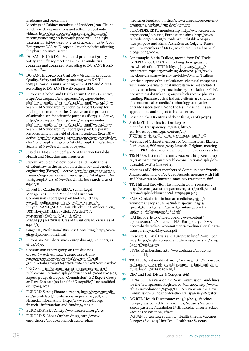medicines and biosimilars

Meetings of Cabinet members of President Jean-Claude Juncker with organisations and self-employed individuals, [http://ec.europa.eu/transparencyinitiative/](http://ec.europa.eu/transparencyinitiative/meetings/meeting.do?host=91b45ce8-2ff0-4e67-b5b5-b42151217f13&d-6679426-p=2) [meetings/meeting.do?host=91b45ce8-2ff0-4e67-b5b5](http://ec.europa.eu/transparencyinitiative/meetings/meeting.do?host=91b45ce8-2ff0-4e67-b5b5-b42151217f13&d-6679426-p=2) [b42151217f13&d-6679426-p=2,](http://ec.europa.eu/transparencyinitiative/meetings/meeting.do?host=91b45ce8-2ff0-4e67-b5b5-b42151217f13&d-6679426-p=2) as of 22/04/15. 24/03/2015 Berlaymont EGA re. European Union's policies affecting the pharmaceutical sector.

- 68. DG SANTE Unit D6 Medicinal products: Quality, Safety and Efficacy meetings with Farmindustira 2014.11.24 and 2014.12.17. According to DG SANTE A2D request, *ibid.*
- <span id="page-37-0"></span>69. DG SANTE, 2015.03.04 Unit D6 – Medicinal products: Quality, Safety and Efficacy meeting with EALTH, 2015.3.16 Various units meeting with EFPIA and APRaD. According to DG SANTE A2D request, ibid.
- <span id="page-37-1"></span>70. European Alcohol and Health Forum (E02224) – Active, [http://ec.europa.eu/transparency/regexpert/index.](http://ec.europa.eu/transparency/regexpert/index.cfm?do=groupDetail.groupDetail&groupID=2224&NewSearch=1&NewSearch=1) [cfm?do=groupDetail.groupDetail&groupID=2224&New-](http://ec.europa.eu/transparency/regexpert/index.cfm?do=groupDetail.groupDetail&groupID=2224&NewSearch=1&NewSearch=1)[Search=1&NewSearch=1;](http://ec.europa.eu/transparency/regexpert/index.cfm?do=groupDetail.groupDetail&groupID=2224&NewSearch=1&NewSearch=1) Technical Expert Group for the implementation of the Directive on the protection of animals used for scientific purposes (E02551) – Active, [http://ec.europa.eu/transparency/regexpert/index.](http://ec.europa.eu/transparency/regexpert/index.cfm?do=groupDetail.groupDetail&groupID=2551&NewSearch=1&NewSearch=1) [cfm?do=groupDetail.groupDetail&groupID=2551&New-](http://ec.europa.eu/transparency/regexpert/index.cfm?do=groupDetail.groupDetail&groupID=2551&NewSearch=1&NewSearch=1)[Search=1&NewSearch=1;](http://ec.europa.eu/transparency/regexpert/index.cfm?do=groupDetail.groupDetail&groupID=2551&NewSearch=1&NewSearch=1) Expert group on Corporate Responsibility in the field of Pharmaceuticals (E02558) – Active, [http://ec.europa.eu/transparency/regexpert/index.](http://ec.europa.eu/transparency/regexpert/index.cfm?do=groupDetail.groupDetail&groupID=2558&NewSearch=1&NewSearch=1) [cfm?do=groupDetail.groupDetail&groupID=2558&New-](http://ec.europa.eu/transparency/regexpert/index.cfm?do=groupDetail.groupDetail&groupID=2558&NewSearch=1&NewSearch=1)[Search=1&NewSearch=1,](http://ec.europa.eu/transparency/regexpert/index.cfm?do=groupDetail.groupDetail&groupID=2558&NewSearch=1&NewSearch=1) as of 04/06/15
- <span id="page-37-2"></span>71. Listed as "Not a member" are NGOs Action for Global Health and Médecins sans frontières.
- <span id="page-37-3"></span>72. Expert Group on the development and implications of patent law in the field of biotechnology and genetic engineering (E02973) – Active, [http://ec.europa.eu/trans](http://ec.europa.eu/transparency/regexpert/index.cfm?do=groupDetail.groupDetail&groupID=2973&NewSearch=1&NewSearch=1)[parency/regexpert/index.cfm?do=groupDetail.groupDe](http://ec.europa.eu/transparency/regexpert/index.cfm?do=groupDetail.groupDetail&groupID=2973&NewSearch=1&NewSearch=1)[tail&groupID=2973&NewSearch=1&NewSearch=1](http://ec.europa.eu/transparency/regexpert/index.cfm?do=groupDetail.groupDetail&groupID=2973&NewSearch=1&NewSearch=1), as of 04/06/15
- <span id="page-37-4"></span>73. Linked-in, Gautier PEREIRA, Senior Legal Manager at GSK and Member of European Commission expert group on biotech, [https://](https://www.linkedin.com/profile/view?id=18313937&authType=NAME_SEARCH&authToken=q2Gy&locale=en_US&trk=tyah&trkInfo=clickedVertical%3Amynetwork%2Cidx%3A1-1-1%2CtarId%3A1433424518575%2Ctas%3AGautier Pereira) [www.linkedin.com/profile/view?id=18313937&au](https://www.linkedin.com/profile/view?id=18313937&authType=NAME_SEARCH&authToken=q2Gy&locale=en_US&trk=tyah&trkInfo=clickedVertical%3Amynetwork%2Cidx%3A1-1-1%2CtarId%3A1433424518575%2Ctas%3AGautier Pereira)[thType=NAME\\_SEARCH&authToken=q2Gy&locale=en\\_](https://www.linkedin.com/profile/view?id=18313937&authType=NAME_SEARCH&authToken=q2Gy&locale=en_US&trk=tyah&trkInfo=clickedVertical%3Amynetwork%2Cidx%3A1-1-1%2CtarId%3A1433424518575%2Ctas%3AGautier Pereira) [US&trk=tyah&trkInfo=clickedVertical%3A](https://www.linkedin.com/profile/view?id=18313937&authType=NAME_SEARCH&authToken=q2Gy&locale=en_US&trk=tyah&trkInfo=clickedVertical%3Amynetwork%2Cidx%3A1-1-1%2CtarId%3A1433424518575%2Ctas%3AGautier Pereira) [mynetwork%2Cidx%3A1-1-1%2Ctar-](https://www.linkedin.com/profile/view?id=18313937&authType=NAME_SEARCH&authToken=q2Gy&locale=en_US&trk=tyah&trkInfo=clickedVertical%3Amynetwork%2Cidx%3A1-1-1%2CtarId%3A1433424518575%2Ctas%3AGautier Pereira)[Id%3A1433424518575%2Ctas%3AGautier%20Pereira,](https://www.linkedin.com/profile/view?id=18313937&authType=NAME_SEARCH&authToken=q2Gy&locale=en_US&trk=tyah&trkInfo=clickedVertical%3Amynetwork%2Cidx%3A1-1-1%2CtarId%3A1433424518575%2Ctas%3AGautier Pereira) as of 04/06/15
- <span id="page-37-5"></span>74. Ginger IP, Professional Business Consulting, [http://www.](http://www.gingerip.com/home.html) [gingerip.com/home.html](http://www.gingerip.com/home.html)
- <span id="page-37-6"></span>75. EuropaBio, Members, [www.europabio.org/members,](http://www.europabio.org/members) as of 04/06/15
- <span id="page-37-7"></span>76. Commission expert group on rare diseases (E03015) – Active, [http://ec.europa.eu/trans](http://ec.europa.eu/transparency/regexpert/index.cfm?do=groupDetail.groupDetail&groupID=3015&NewSearch=1&NewSearch=1)[parency/regexpert/index.cfm?do=groupDetail.](http://ec.europa.eu/transparency/regexpert/index.cfm?do=groupDetail.groupDetail&groupID=3015&NewSearch=1&NewSearch=1) [groupDetail&groupID=3015&NewSearch=1&NewSearch=1](http://ec.europa.eu/transparency/regexpert/index.cfm?do=groupDetail.groupDetail&groupID=3015&NewSearch=1&NewSearch=1)
- <span id="page-37-8"></span>77. TR: GSK, [http://ec.europa.eu/transparencyregister/](http://ec.europa.eu/transparencyregister/public/consultation/displaylobbyist.do?id=7990322925-77) [public/consultation/displaylobbyist.do?id=7990322925-77,](http://ec.europa.eu/transparencyregister/public/consultation/displaylobbyist.do?id=7990322925-77) "Expert groups (European Commission): EC Expert Group on Rare-Diseases (on behalf of EuropaBio)" last modified on: 27/04/2015
- <span id="page-37-9"></span>78. EURORDIS, 2013 Financial report, [http://www.eurordis.](http://www.eurordis.org/sites/default/files/financial-report-2013.pdf) [org/sites/default/files/financial-report-2013.pdf](http://www.eurordis.org/sites/default/files/financial-report-2013.pdf), and Financial information, [http://www.eurordis.org/](http://www.eurordis.org/financial-information-and-funding#tabs-2) [financial-information-and-funding#tabs-2](http://www.eurordis.org/financial-information-and-funding#tabs-2)
- <span id="page-37-10"></span>79. EURORDIS, ERTC, <http://www.eurordis.org/ertc>,
- <span id="page-37-11"></span>80. EURORDIS, About Orphan drugs, [http://www.](http://www.eurordis.org/about-orphan-drugs) [eurordis.org/about-orphan-drugs](http://www.eurordis.org/about-orphan-drugs), Orphan

<span id="page-37-12"></span>medicines legislation, [http://www.eurordis.org/content/](http://www.eurordis.org/content/promoting-orphan-drug-development) [promoting-orphan-drug-development](http://www.eurordis.org/content/promoting-orphan-drug-development)

- 81. EURORDIS, ERTC membership, [http://www.eurordis.](http://www.eurordis.org/content/join-ertc) [org/content/join-ertc](http://www.eurordis.org/content/join-ertc), Purpose and aims, [http://www.](http://www.eurordis.org/content/eurordis-round-table-companies-purpose-and-aims) [eurordis.org/content/eurordis-round-table-compa](http://www.eurordis.org/content/eurordis-round-table-companies-purpose-and-aims)[nies-purpose-and-aims.](http://www.eurordis.org/content/eurordis-round-table-companies-purpose-and-aims) AstraZeneca, Celgene, Pfizer are Ruby members of ERTC, which requires a financial pledge of 25,000  $\epsilon$ .
- <span id="page-37-13"></span>82. For example, Maria Trallero, moved from DG Trade to EFPIA – see CEO, The revolving door: greasing the wheels of the TTIP lobby, 15 July 2015, [http://](http://corporateeurope.org/revolving-doors/2015/07/revolving-door-greasing-wheels-ttip-lobby#Maria_Trallero) [corporateeurope.org/revolving-doors/2015/07/revolv](http://corporateeurope.org/revolving-doors/2015/07/revolving-door-greasing-wheels-ttip-lobby#Maria_Trallero)[ing-door-greasing-wheels-ttip-lobby#Maria\\_Trallero](http://corporateeurope.org/revolving-doors/2015/07/revolving-door-greasing-wheels-ttip-lobby#Maria_Trallero)
- <span id="page-37-14"></span> $83.$  For the purpose of this calculation, chemical companies with some pharmaceutical interests were not included (unless members of pharma industry association EFPIA), nor were think-tanks or groups which receive pharma funding. Pharmaceutical industry clients are therefore pharmaceutical or medical technology companies or trade associations. None the less, these figures are approximate and subject to human error.
- <span id="page-37-15"></span>84. Based on the TR entries of these firms, as of  $13/05/15$
- <span id="page-37-16"></span>85. Article VII, Inter-institutional agreement for Transparency Register, [http://](http://eur-lex.europa.eu/legal-content/en/TXT/?uri=uriserv:OJ.L_.2014.277.01.0011.01.ENG) [eur-lex.europa.eu/legal-content/en/](http://eur-lex.europa.eu/legal-content/en/TXT/?uri=uriserv:OJ.L_.2014.277.01.0011.01.ENG) [TXT/?uri=uriserv:OJ.L\\_.2014.277.01.0011.01.ENG](http://eur-lex.europa.eu/legal-content/en/TXT/?uri=uriserv:OJ.L_.2014.277.01.0011.01.ENG)
- <span id="page-37-17"></span>86. Meetings of Cabinet members of Commissioner Elżbieta Bieńkowska, *ibid.* 22/01/2015 Brussels, Belgium, meeting with FIPRA International Limited re. Life sciences sector
- <span id="page-37-18"></span>87. TR: FIPRA, last modified on: 27/04/2015 [http://ec.europa.](http://ec.europa.eu/transparencyregister/public/consultation/displaylobbyist.do?id=58746194306-23) [eu/transparencyregister/public/consultation/displaylob](http://ec.europa.eu/transparencyregister/public/consultation/displaylobbyist.do?id=58746194306-23)[byist.do?id=58746194306-23](http://ec.europa.eu/transparencyregister/public/consultation/displaylobbyist.do?id=58746194306-23)
- <span id="page-37-19"></span>88. Meetings of Cabinet members of Commissioner Vytenis Andriukaitis, ibid. 06/02/2015 Brussels, meeting with Hill and Knowlton re. Immuno-oncology treatments, *ibid.*
- <span id="page-37-20"></span>89. TR: Hill and Knowlton, last modified on: 23/04/2015, [http://ec.europa.eu/transparencyregister/public/consul](http://ec.europa.eu/transparencyregister/public/consultation/displaylobbyist.do?id=3183894853-03)[tation/displaylobbyist.do?id=3183894853-03](http://ec.europa.eu/transparencyregister/public/consultation/displaylobbyist.do?id=3183894853-03)
- <span id="page-37-21"></span>90. EMA, Clinical trials in human medicines, [http://](http://www.ema.europa.eu/ema/index.jsp?curl=pages/special_topics/general/general_content_000489.jsp&mid=WC0b01ac058060676f) [www.ema.europa.eu/ema/index.jsp?curl=pages/](http://www.ema.europa.eu/ema/index.jsp?curl=pages/special_topics/general/general_content_000489.jsp&mid=WC0b01ac058060676f) [special\\_topics/general/general\\_content\\_000489.](http://www.ema.europa.eu/ema/index.jsp?curl=pages/special_topics/general/general_content_000489.jsp&mid=WC0b01ac058060676f) [jsp&mid=WC0b01ac058060676f](http://www.ema.europa.eu/ema/index.jsp?curl=pages/special_topics/general/general_content_000489.jsp&mid=WC0b01ac058060676f)
- <span id="page-37-22"></span>91. HAI Europe, [http://haieurope.org/wp-content/](http://haieurope.org/wp-content/uploads/2014/05/Statement-HAI-Europe-urges-EMA-not-to-backtrack-on-commitments-to-clinical-trial-data-transparency-22-May-2014.pdf) [uploads/2014/05/Statement-HAI-Europe-urges-EMA](http://haieurope.org/wp-content/uploads/2014/05/Statement-HAI-Europe-urges-EMA-not-to-backtrack-on-commitments-to-clinical-trial-data-transparency-22-May-2014.pdf)[not-to-backtrack-on-commitments-to-clinical-trial-data](http://haieurope.org/wp-content/uploads/2014/05/Statement-HAI-Europe-urges-EMA-not-to-backtrack-on-commitments-to-clinical-trial-data-transparency-22-May-2014.pdf)[transparency-22-May-2014.pdf](http://haieurope.org/wp-content/uploads/2014/05/Statement-HAI-Europe-urges-EMA-not-to-backtrack-on-commitments-to-clinical-trial-data-transparency-22-May-2014.pdf)
- <span id="page-37-23"></span>92. Prescrire, Clinical trials and Europe: In brief, November 2014, [http://english.prescrire.org/en/79/549/49220/3679/](http://english.prescrire.org/en/79/549/49220/3679/ReportDetails.aspx) [ReportDetails.aspx](http://english.prescrire.org/en/79/549/49220/3679/ReportDetails.aspx)
- <span id="page-37-24"></span>93. EFPIA, Membership, [http://www.efpia.eu/about-us/](http://www.efpia.eu/about-us/membership) [membership](http://www.efpia.eu/about-us/membership)
- <span id="page-37-25"></span>94. TR: EFPIA, last modified on: 27/04/2015, [http://ec.europa.](http://ec.europa.eu/transparencyregister/public/consultation/displaylobbyist.do?id=38526121292-88) [eu/transparencyregister/public/consultation/displaylob](http://ec.europa.eu/transparencyregister/public/consultation/displaylobbyist.do?id=38526121292-88)[byist.do?id=38526121292-88,](http://ec.europa.eu/transparencyregister/public/consultation/displaylobbyist.do?id=38526121292-88) l
- <span id="page-37-26"></span>95. CEO and HAI, Divide & Conquer, *ibid.*
- <span id="page-37-27"></span>96. EFPIA, EFPIA's View on the New Commission Guidelines for the Transparency Register, 07 May 2015, [http://www.](http://www.efpia.eu/mediaroom/257/43/EFPIA-s-View-on-the-New-Commission-Guidelines-for-the-Transparency-Register) [efpia.eu/mediaroom/257/43/EFPIA-s-View-on-the-New-](http://www.efpia.eu/mediaroom/257/43/EFPIA-s-View-on-the-New-Commission-Guidelines-for-the-Transparency-Register)[Commission-Guidelines-for-the-Transparency-Register](http://www.efpia.eu/mediaroom/257/43/EFPIA-s-View-on-the-New-Commission-Guidelines-for-the-Transparency-Register)
- <span id="page-37-28"></span>97. DG RTD Health Directorate: 12-13/03/2015, Vaccines Europe, GlaxoSmithKline Vaccines, Novartis Vaccines, Sanofi pasteur, Fraunhoher IME, Takeda, Janseen, Sclavo Vaccines Association, Pfizer.

DG SANTE, 2015.02.13 Unit C3 Health threats, Vaccines Europe; 28.01.2015 Unit D2 – Healthcare Systems,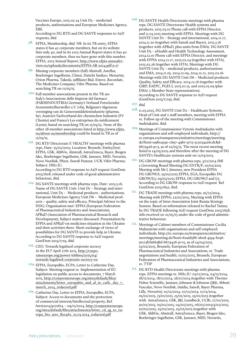Vaccines Europe, 2015.02.24 Unit D5 – medicinal products, authorisations and European Medicines Agency, EBE.

<span id="page-38-0"></span>According to DG RTD and DG SANTE responses to A2D requests, *ibid.*

- 98. EFPIA, Membership, *ibid.* NB. In its TR entry, EFPIA states it has 42 corporate members, but on its website lists only 40, and in its 2013 Annual Report states it has 40 corporate members, thus we have gone with this number. EFPIA, 2013 Annual Report, [http://www.efpia-annualre](http://www.efpia-annualreview.eu/uploads/documents/EFPIA-AR-2014.pdf)[view.eu/uploads/documents/EFPIA-AR-2014.pdf](http://www.efpia-annualreview.eu/uploads/documents/EFPIA-AR-2014.pdf) p.37
- <span id="page-38-1"></span>99. Missing corporate members (full) Almirall, Astellas, Boehringer Ingelheim, Chiesi, Daiichi Sankyo, Menarini, Orion Pharma, Takeda, (affiliate) Bial, Esteve, Recordati, The Medicines Company, Vifor Pharma. Based on searching TR on 11/05/15.
- <span id="page-38-2"></span> $^{100.}$  Full member associations present in the TR are Italy's Associazione delle Imprese del farmaco (FARMINDUSTRIA) Germany's Verband Forschender Arzneimittelhersteller e.V. (vfa), Belgium's Algemene vereniging van de Geneesmiddelenindustrie (pharma. be), Austria's Fachverband der chemischen Industrie (FV Chemie) and France's Les entreprises du médicament (Leem), based on searching TR on 11/05/15. None of the other 28 member associations listed at [http://www.efpia.](http://www.efpia.eu/about-us/membership) [eu/about-us/membership](http://www.efpia.eu/about-us/membership) could be found in TR as of 11/05/15.
- <span id="page-38-3"></span>101. DG RTD Directorate E 'HEALTH' meetings with pharma reps, Date: 25/02/2015; Location: Brussels; Entity/(ies): EFPIA, GSK, AbbVie, Almirall, AstraZeneca, Bayer, Biogen Idec, Boehringer Ingelheim, GSK, Janssen, MSD, Novartis, Novo Nordisk, Pfizer, Sanofi Pasteur, UCB, Vifor Pharma; Subject: IMI2 JU. According to DG RTD response to A2D request GestDem

<span id="page-38-4"></span>2015/1628, released under code of good administrative behaviour, *ibid.*

- 102. DG SANTE meetings with pharma reps, Date: 2015.3.16, Name of DG SANTE Unit: Unit DI - Strategy and international, Unit D5 – Medicinal products - authorisations, European Medicines Agency Unit D6 – Medicinal products – quality, safety and efficacy, Principal Advisor to the DDG; Organisation met: EFPIA (European Federation of Pharmaceutical Industries and Associations), APRaD (Association of Pharmaceutical Research and Development), Subject matter discussed: Presentation by EFPIA and APRaD on medicines situation in the Ukraine and their activities there. Short exchange of views of possibilities for DG SANTE to provide help in Ukraine. According to DG SANTE response to A2D request GestDem 2015/1729, *ibid.*
- <span id="page-38-5"></span>103. CEO, Towards legalised corporate secrecy in the EU? April 27th 2015, [http://corpo](http://corporateeurope.org/power-lobbies/2015/04/towards-legalised-corporate-secrecy-eu)[rateeurope.org/power-lobbies/2015/04/](http://corporateeurope.org/power-lobbies/2015/04/towards-legalised-corporate-secrecy-eu) [towards-legalised-corporate-secrecy-eu](http://corporateeurope.org/power-lobbies/2015/04/towards-legalised-corporate-secrecy-eu)
- <span id="page-38-6"></span>104. EFPIA, EuropaBio, ECPA, Letter to Catherine Day, Subject: Meeting request re. Implementation of EU legislation on public access to documents, 7 March 2015, [http://corporateeurope.org/sites/default/files/](http://corporateeurope.org/sites/default/files/attachments/letter_europabio_and_al_to_cath._day_7_march_2014_redacted.pdf) [attachments/letter\\_europabio\\_and\\_al\\_to\\_cath.\\_day\\_7\\_](http://corporateeurope.org/sites/default/files/attachments/letter_europabio_and_al_to_cath._day_7_march_2014_redacted.pdf) [march\\_2014\\_redacted.pdf](http://corporateeurope.org/sites/default/files/attachments/letter_europabio_and_al_to_cath._day_7_march_2014_redacted.pdf)
- <span id="page-38-7"></span>105. Catherine Day, Letter to EFPIA, EuropaBio, ECPA, Subject: Access to documents and the protection of commercial interest/Intellectual property, Ref. Ares(2014)4121614 – 09/12/2014, [http://corporateeurope.](http://corporateeurope.org/sites/default/files/attachments/letter_cd_sg_to_europa_bio_ares_850462_23.03.2014_redacted.pdf) [org/sites/default/files/attachments/letter\\_cd\\_sg\\_to\\_eu](http://corporateeurope.org/sites/default/files/attachments/letter_cd_sg_to_europa_bio_ares_850462_23.03.2014_redacted.pdf)[ropa\\_bio\\_ares\\_850462\\_23.03.2014\\_redacted.pdf](http://corporateeurope.org/sites/default/files/attachments/letter_cd_sg_to_europa_bio_ares_850462_23.03.2014_redacted.pdf)
- <sup>106.</sup> DG SANTE Health Directorate meetings with pharma reps. DG SANTE Directorate Health systems and products, 2015.03.10 Phone call with EFPIA Director, and 11.03.2015 meeting with EFPIA. Meetings with DG SANTE Unit D1 – Strategy and international, 2014.11.17, 2014.11.20 (together with Sanofi and Bayer), 2015.3.16 (together with APRaD, plus units from EMA). DG SANTE Unit D3 – eHealth and Health Technology Assessment, 2014.12.01 Phone call with EFPIA Director, and meetings with EFPIA 2014.12.17, 2015.02.24 (together with HTA), 2015.02.26 (together with HTA). Meetings with DG SANTE Unit D5 – medicinal products, authorisations and EMA, 2014.11.05, 2014.12.09, 2014.12.12, 2015.02.16. Meetings with DG SANTE Unit D6 – Medicinal products: Quality, Safety and Efficacy, 2014.12.16 (together with GIRP, EAEPC, PGEU), 2015.01.15, and 2015.03.09 (plus EMA/ 2 Member State representatives). According to DG SANTE response to A2D request (GestDem 2015/1729), ibid.
- 107. *ibid.*
- 108. 11.03.2015, DG SANTE Unit D2 Healthcare Systems, Head of Unit and 2 staff members, meeting with EFPIA re. Follow up of the meeting with Commissioner Andriukaitis. ibid.
- 109. Meetings of Commissioner Vytenis Andriukaitis with organisations and self-employed individuals, http:// ec.europa.eu/transparencyinitiative/meetings/meeting. do?host=a980459e-c697-49b1-9713-5c5034a26cdc&d-6679426-p=3, as of 22/05/15. The most recent meeting listed is 24/03/2015 and therefore after the meeting of DG SANTE's Healthcare systems unit on  $II/03/2015$ .
- 110. DG GROW meetings with pharma reps, 3/11/2014 IMI 2 Governing Board Meeting DG ENTR/F; 10/02/2015 Meeting with Mr J. Jimenez, new President EFPIA DG GROW/I; 25/02/2015 EFPIA, EGA, EuropaBio DG GROW/l/3; 09/03/2015 EFPIA, DG GROW/I and I/3. According to DG GROW response to A2D request Ref GestDem 2015/1652, ibid.
- 111. DG TRADE meetings with pharma reps, 05/12/2014, Meeting with EFPIA; 22/01/2015, Meeting with EFPIA on the topic of Inter-Association Joint Russia Strategy Session. Based on information released to Rachel Tansey by DG TRADE following A2D request GestDem 2015/1658, info received 20-21/05/15 under the code of good administrative behaviour.
- 112. Meetings of Cabinet members of Commissioner Cecilia Malmström with organisations and self-employed individuals, http://ec.europa.eu/transparencyinitiative/ meetings/meeting.do?host=61aa8586-2b0d-4394-b196- 30c13f1fa663&d-6679426-p=15, as of 24/04/2015. 25/02/2015, Brussels, European Federation of Pharmaceutical Industries and Associations, re. Trade negotiations and health; 10/02/2015, Brussels, European Federation of Pharmaceutical Industries and Associations, re. TTIP
- <sup>II3.</sup> DG RTD Health Directorate meetings with pharma reps. EFPIA meetings re. IMI2 JU: 03/11/2014, 04/11/2014, 18/11/2014, 18/11/2014, 26/11/2014 (together with Thermo Fisher Scientific, Janssen, Johnson & Johnson (J&J), Abbott Vascular, Novo Nordisk, Imidia, Sanofi, Bayer Pharma, Lilly, Novartis), 01/12/2014, 10/12/2014, 11/12/2014, 05/01/2015, 13/01/2015 ,15/01/2015, 23/01/2015 (together with AstraZeneca, GSK, J&J, Lundbeck, UCB), 27/01/2015, 30/01/2015, 03/02/2015, 04/02/2015, 06/02/201513/02/2015, 20/02/2015, 25/02/2015, 25/02/2015 (together with GSK, AbbVie, Almirall, AstraZeneca, Bayer, Biogen Idec, Boehringer Ingelheim, GSK, Janssen, MSD, Novartis,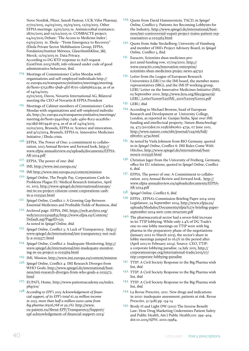Novo Nordisk, Pfizer, Sanofi Pasteur, UCB, Vifor Pharma), 27/02/2015, 04/03/2015, 05/03/2015, 12/03/2015. Other EFPIA meetings: 23/01/2015 re. Antimicrobial resistance; 28/01/2015 and 02/02/2015 re. COMBACTE project; 04/02/2015 Debate: 'The Access to Medicine Index'; 03/03/2015 re. Ebola - "From Emergency to Recovery" (Ebola Private Sector Mobilisation Group, EFPIA, Fondation/Institut Mérieux, GlaxoSmithKline, J&J, Merck; 11/03/2015 re. Data Privacy. According to DG RTD response to A2D request (GestDem 2015/1628), info released under code of good administrative behaviour, ibid.

- 114. Meetings of Commissioner Carlos Moedas with organisations and self-employed individuals http:// ec.europa.eu/transparencyinitiative/meetings/meeting. do?host=375218b1-5b9b-4f1f-8701-cda656622c9a, as of as of 24/04/2015. 23/01/2015, Davos, Novartis International AG, Bilateral meeting the CEO of Novartis & EFPIA President
- 115. Meetings of Cabinet members of Commissioner Carlos Moedas with organisations and self-employed individuals, http://ec.europa.eu/transparencyinitiative/meetings/ meeting.do?host=39401b95-74dc-4360-8ce2-aca281bc-05c1&d-6679426-p=4, as of as of 24/04/2015. 10/02/2015, Brussels, EFPIA re. Science and innovation, and 9/12/2014, Brussels, EFPIA re. Innovative Medicines Initiative / Ebola crisis.
- <span id="page-39-0"></span>116. EFPIA, The Power of One: a commitment to collaboration, 2013 Annual Review and forward look, [http://](http://www.efpia-annualreview.eu/uploads/documents/EFPIA-AR-2014.pdf) [www.efpia-annualreview.eu/uploads/documents/EFPIA-](http://www.efpia-annualreview.eu/uploads/documents/EFPIA-AR-2014.pdf)[AR-2014.pdf](http://www.efpia-annualreview.eu/uploads/documents/EFPIA-AR-2014.pdf)
- <span id="page-39-1"></span>117. EFPIA, The power of one: *ibid.*
- <span id="page-39-2"></span>118. IMI, <http://www.imi.europa.eu/>
- <span id="page-39-3"></span>119. IMI <http://www.imi.europa.eu/content/mission>
- *120. Spiegel Online*, The People Pay, Corporations Cash In: Problems Plague EU Medical Research Initiative, April 01, 2015, [http://www.spiegel.de/international/europe/](http://www.spiegel.de/international/europe/imi-in-eu-project-citizens-count-corporations-cash-in-a-1025550.html) [imi-in-eu-project-citizens-count-corporations-cash](http://www.spiegel.de/international/europe/imi-in-eu-project-citizens-count-corporations-cash-in-a-1025550.html)[in-a-1025550.html](http://www.spiegel.de/international/europe/imi-in-eu-project-citizens-count-corporations-cash-in-a-1025550.html)
- <span id="page-39-4"></span>*121. Spiegel Online*, Conflict 1: A Growing Gap Between Essential Medicines and Profitable Fields of Business, *ibid.*
- <span id="page-39-5"></span>122. Archived page: EFPIA, IMI, [https://web.archive.org/](https://web.archive.org/web/20111023095832/http://www.efpia.eu/Content/Default.asp?PageID=515) [web/20111023095832/http://www.efpia.eu/Content/](https://web.archive.org/web/20111023095832/http://www.efpia.eu/Content/Default.asp?PageID=515) [Default.asp?PageID=515](https://web.archive.org/web/20111023095832/http://www.efpia.eu/Content/Default.asp?PageID=515) As noted in *Spiegel Online*, *ibid.*
- *123. Spiegel Online*, Conflict 3: A Lack of Transparency, [http://](http://www.spiegel.de/international/imi-transparency-not-really-a-1025577.html) [www.spiegel.de/international/imi-transparency-not-real](http://www.spiegel.de/international/imi-transparency-not-really-a-1025577.html)[ly-a-1025577.html](http://www.spiegel.de/international/imi-transparency-not-really-a-1025577.html)
- *124. Spiegel Online*, Conflict 2: Inadequate Monitoring, http:// www.spiegel.de/international/imi-inadequate-monitoring-in-eu-project-a-1025569.html
- <span id="page-39-6"></span>125. IMI, Mission, <http://www.imi.europa.eu/content/mission>
- *126. Spiegel Online*, Conflict 4: IMI Research Diverges from WHO Goals, [http://www.spiegel.de/international/busi](http://www.spiegel.de/international/business/imi-research-diverges-from-who-goals-a-1025572.html)[ness/imi-research-diverges-from-who-goals-a-1025572.](http://www.spiegel.de/international/business/imi-research-diverges-from-who-goals-a-1025572.html) [html](http://www.spiegel.de/international/business/imi-research-diverges-from-who-goals-a-1025572.html)
- <span id="page-39-7"></span>127. EUPATI, Home, http://www.patientsacademy.eu/index. php/en/
- <span id="page-39-8"></span>128. *According to EPF's 2013 Acknowledgement of financial support, of its EPF's total €1.29 million income in 2013, more than half a million euros came from big pharma (€506,768 or 39.2%).* [http://www.](http://www.eu-patient.eu/About-EPF/Transparency/Support/epf-acknowledgement-of-financial-support-2013/) [eu-patient.eu/About-EPF/Transparency/Support/](http://www.eu-patient.eu/About-EPF/Transparency/Support/epf-acknowledgement-of-financial-support-2013/) [epf-acknowledgement-of-financial-support-2013/](http://www.eu-patient.eu/About-EPF/Transparency/Support/epf-acknowledgement-of-financial-support-2013/)
- <span id="page-39-9"></span>129. Quote from David Hammerstein, TACD, in *Spiegel Online*, Conflict 5: Patients Are Becoming Lobbyists for the Industry, [http://www.spiegel.de/international/busi](http://www.spiegel.de/international/business/imi-controversial-eupati-project-trains-patient-represenatives-a-1025563.html)[ness/imi-controversial-eupati-project-trains-patient-rep](http://www.spiegel.de/international/business/imi-controversial-eupati-project-trains-patient-represenatives-a-1025563.html)[resenatives-a-1025563.html](http://www.spiegel.de/international/business/imi-controversial-eupati-project-trains-patient-represenatives-a-1025563.html)
- <span id="page-39-10"></span>130. Quote from Anke Steckelberg, University of Hamburg and member of IMI's Project Advisory Board, in *Spiegel Online*, Conflict 5, ibid.
- <span id="page-39-11"></span>131. Euractiv, Scientists shun medicines project amid funding row, 07/09/2010, [http://](http://www.euractiv.com/innovation-enterprise/scientists-shun-medicines-projec-news-497511) [www.euractiv.com/innovation-enterprise/](http://www.euractiv.com/innovation-enterprise/scientists-shun-medicines-projec-news-497511) [scientists-shun-medicines-projec-news-497511](http://www.euractiv.com/innovation-enterprise/scientists-shun-medicines-projec-news-497511)
- <span id="page-39-12"></span><sup>132.</sup> Letter from the League of European Research Universities (LERU) to the IMI board, the member states representatives (SRG), and the IMI IP working group, LERU Letter on the Innovative Medicines Initiative (IMI), 03 September 2010, [http://www.leru.org/files/general/](http://www.leru.org/files/general/LERU_Letter on IMI_2010 09 02.pdf) [LERU\\_Letter%20on%20IMI\\_2010%2009%2002.pdf](http://www.leru.org/files/general/LERU_Letter on IMI_2010 09 02.pdf)
- <span id="page-39-13"></span>133. LERU, *ibid.*
- <span id="page-39-14"></span>134. According to Michael Browne, head of European Research and Development at University College, London, as reported in: Gunjan Sinha, Spat over IMI funding and intellectual property, *Nature Biotechnology* 29, 473 (2011)doi:10.1038/nbt0611-473a, 07 June 2011, [http://www.nature.com/nbt/journal/v29/n6/full/](http://www.nature.com/nbt/journal/v29/n6/full/nbt0611-473a.html) [nbt0611-473a.html](http://www.nature.com/nbt/journal/v29/n6/full/nbt0611-473a.html)
- <span id="page-39-15"></span>135. As noted by Viola Johnson from BIO Germany, quoted in in *Spiegel Online*, Conflict 6: IMI Rules Come With Hitches, [http://www.spiegel.de/international/busi](http://www.spiegel.de/international/business/a-1025556.html)[ness/a-1025556.html](http://www.spiegel.de/international/business/a-1025556.html)
- <span id="page-39-16"></span><sup>136.</sup> Christian Jager from the University of Freiberg, Germany, office for EU relations, quoted in *Spiegel Online*, Conflict 6, *ibid.*
- <span id="page-39-17"></span>137. EFPIA, The power of one: A Commitment to collaboration. 2013 Annual Review and forward look, [http://](http://www.efpia-annualreview.eu/uploads/documents/EFPIA-AR-2014.pdf) [www.efpia-annualreview.eu/uploads/documents/EFPIA-](http://www.efpia-annualreview.eu/uploads/documents/EFPIA-AR-2014.pdf)[AR-2014.pdf](http://www.efpia-annualreview.eu/uploads/documents/EFPIA-AR-2014.pdf)
- *138. Spiegel Online*, Conflict 6, *ibid.*
- <span id="page-39-18"></span>139. EFPIA , EFPIA's Commission Briefing Paper 2014-2019 Legislature, 24 September 2014, [http://www.efpia.eu/](http://www.efpia.eu/uploads/Modules/Documents/efpia) [uploads/Modules/Documents/efpia%27s-briefing-paper](http://www.efpia.eu/uploads/Modules/Documents/efpia)[september-2014-new-com-structure.pdf](http://www.efpia.eu/uploads/Modules/Documents/efpia)
- <span id="page-39-19"></span>140. The pharmaceutical sector had a seven-fold increase in its TTIP lobbying. While only 2.4% of DG Trade's one-to-one lobby meetings on TTIP were with big pharma in the preparatory phase of the negotiations (January 2012 to March 2013), the sector's share in lobby meetings jumped to 16.5% in the period after (April 2013 to February 2014). Source: CEO, TTIP: a corporate lobbying paradise, 14 July 2015, [http://](http://corporateeurope.org/international-trade/2015/07/ttip-corporate-lobbying-paradise) [corporateeurope.org/international-trade/2015/07/](http://corporateeurope.org/international-trade/2015/07/ttip-corporate-lobbying-paradise) [ttip-corporate-lobbying-paradise](http://corporateeurope.org/international-trade/2015/07/ttip-corporate-lobbying-paradise)
- 141. TTIP: A Civil Society Response to the Big Pharma wish list, *ibid*.
- <span id="page-39-20"></span>142. TTIP: A Civil Society Response to the Big Pharma wish list, *ibid.*
- <span id="page-39-21"></span>143. TTIP: A Civil Society Response to the Big Pharma wish list *ihid*.
- <span id="page-39-22"></span>144. La Revue Prescrire, 2011. New drugs and indications in 2010: inadequate assessment; patients at risk. Revue Prescrire, 31 (328) pp. 134-14
- <span id="page-39-23"></span>145. Brody H and Light DW (2011) The Inverse Benefit Law: How Drug Marketing Undermines Patient Safety and Public Health, Am J Public Health;101: 399–404. doi:10.2105/AJPH. 2010.19984.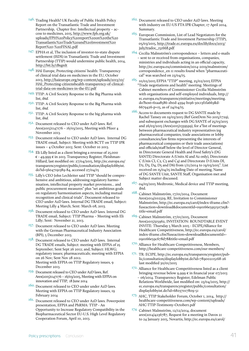- <span id="page-40-0"></span><sup>146</sup>. Trading Health? UK Faculty of Public Health Policy Report on the Transatlantic Trade and Investment Partnership, Chapter five: Intellectual property – access to medicines, 2015, http://www.fph.org.uk/ uploads/FPH%20Policy%20report%20on%20the%20 Transatlantic%20Trade%20and%20Investment%20 Report%20-%20FINAL.pdf
- <span id="page-40-1"></span>147. EPHA et al, The inclusion of investor-to-state dispute settlement (ISDS) in Transatlantic Trade and Investment Partnership (TTIP) would undermine public health, 2014, <http://bit.ly/1BxgnIt>
- <span id="page-40-2"></span>148. HAI Europe, Protecting citizens' health: Transparency of clinical trial data on medicines in the EU, October 2013, [http://haieurope.org/wp-content/uploads/2013/10/](http://haieurope.org/wp-content/uploads/2013/10/HAI_Protecting-citizenshealth-transparency-of-clinical-trial-data-on-medicines-in-the-EU.pdf) [HAI\\_Protecting-citizenshealth-transparency-of-clinical](http://haieurope.org/wp-content/uploads/2013/10/HAI_Protecting-citizenshealth-transparency-of-clinical-trial-data-on-medicines-in-the-EU.pdf)[trial-data-on-medicines-in-the-EU.pdf](http://haieurope.org/wp-content/uploads/2013/10/HAI_Protecting-citizenshealth-transparency-of-clinical-trial-data-on-medicines-in-the-EU.pdf)
- <span id="page-40-3"></span>149. TTIP: A Civil Society Response to the Big Pharma wish list, *ibid.*
- <span id="page-40-4"></span><sup>150.</sup> TTIP: A Civil Society Response to the Big Pharma wish list, *ibid.*
- <span id="page-40-5"></span>151. TTIP: A Civil Society Response to the big pharma wish list, *ibid.*
- 152. Document released to CEO under A2D laws. Ref. Ares(2015)1147176 – 16/03/2015, Meeting with Pfizer 4 November 2013.
- 153. Document released to CEO under A2D laws. Internal DG TRADE email, Subject: Meeting with BCTT on TTIP IPR issues – 4 October 2013; Sent: October 10 2013.
- 154. Eli Lilly listed as a client bringing a revenue of 25,000 € - 49,999 € in 2013. Transparency Register, Fleishman-Hillard, last modified on: 27/04/2015, http://ec.europa.eu/ transparencyregister/public/consultation/displaylobbyist. do?id=56047191389-84, accessed 27/04/15
- 155. Lilly's CEO John Lechleiter said TTIP "should be comprehensive and ambitious, addressing regulatory harmonisation, intellectual property market provisions... and public procurement measures" plus "set ambitious goals on regulatory harmonisation aspects, including mutual recognition and clinical trials". Document released to CEO under A2D laws. Internal DG TRADE email, Subject: Meeting Lilly 4 March; Sent: March 08, 2013.
- <sup>156.</sup> Document released to CEO under A2D laws. Internal DG TRADE email, Subject: TTIP Pharma – Meeting with Eli Lilly; Sent: November 21, 2013.
- 157. Document released to CEO under A2D laws. Meeting with the German Pharmaceutical Industry Association (BPI), 5 December 2013.
- 158. Document released to CEO under A2D laws. Internal DG TRADE emails, Subject: meeting with EFPIA of 25 September; Sent Sept 26 2012; and, Subject: HLWG; regulatory issues; pharmaceuticals; meeting with EFPIA on 26 Nov; Sent Nov 28 2012. Meeting with EFPIA on TTIP Regulatory issues, 9 December 2013.
- 159. Document released to CEO under A2D laws, Ref. Ares(2015)1147176 – 16/03/2015, Meeting with EFPIA on innovation and TTIP, 18 June 2014
- 160. Document released to CEO under under A2D laws. Meeting with EFPIA on TTIP Regulatory issues, 19 February 2014
- 161. Document released to CEO under A2D laws. Powerpoint presentation, EFPIA and PhRMA: TTIP - An Opportunity to Increase Regulatory Compatibility in the Biopharmaceutical Sector EU-U.S. High Level Regulatory Cooperation Forum, April 10, 2013.
- <sup>162.</sup> Document released to CEO under A2D laws. Meeting with industry on EU-US FTA IPR Chapter, 17 April 2014, Summary.
- <span id="page-40-6"></span><sup>163.</sup> European Commission, List of Lead Negotiators for the Transatlantic Trade and Investment Partnership (TTIP), 05/03/2015, [http://trade.ec.europa.eu/doclib/docs/2013/](http://trade.ec.europa.eu/doclib/docs/2013/july/tradoc_151668.pdf) [july/tradoc\\_151668.pdf](http://trade.ec.europa.eu/doclib/docs/2013/july/tradoc_151668.pdf)
- <span id="page-40-7"></span> $^{164\cdot}$  Cecilia Malmström's correspondence – letters and e-mails – sent to or received from organisations, companies, ministries and individuals acting in an official capacity, http://ec.europa.eu/commission/2014-2019/malmstrom/ correspondence\_en 11 results found when "pharmaceutical" was searched on 23/04/15.
- <sup>165.</sup> 10/02/2015 EFPIA "TTIP" meeting, 25/02/2015 EFPIA "Trade negotiations and health" meeting. Meetings of Cabinet members of Commissioner Cecilia Malmström with organisations and self-employed individuals, http:// ec.europa.eu/transparencyinitiative/meetings/meeting. do?host=61aa8586-2b0d-4394-b196-30c13f1fa663&d-6679426-p=15, as of 24/04/15.
- 166. Access to documents request to DG SANTE made by Rachel Tansey on 19/03/2015 (Ref GestDem No 2015/1729), and subsequent exchanges with DG SANTE of 25/03/2015 and 26/03/2015 (Ares(2015)1339599), for a"list of meetings between pharmaceutical industry representatives (eg pharmaceutical companies, trade associations or lobby consultancies/law firms representing the interests of pharmaceutical companies or their trade associations) and officials/staff below the level of Director General, in Directorate General Health and Food Safety's (DG SANTE) Directorate A (Units Al and A2 only), Directorate C (Unis CI, C2, C3 and C4) and Directorate D (Units Dl, D2, D3, D4, D5 and D6) from 1/11/2014 to 19/03/2015". List received on 15/04/15 including Date of meeting, Name of DG SANTE Unit, SANTE Staff, Organisation met and Subject matter discussed.
- 167. 04/03/2015 Medtronic, Medical device and TTIP meeting, ibid.
- 168. Cabinet Malmström, 17/01/2014, Document Ares(2014)102329, RE, Invitation to Commissioner Malmström, http://ec.europa.eu/carol/index-iframe.cfm? fuseaction=download&documentId=090166e5951507a5& title=email.pdf
- 169. Cabinet Malmström, 27/01/2015, Document Ares(2015)315962, INVITATION: ROUNDTABLE EVENT INVITE: Thursday 5 March 2015 - ECIPE/Alliance for Healthcare Competitiveness, http://ec.europa.eu/carol/ index-iframe.cfm?fuseaction=download&documentId=- 090166e59c678d78&title=email.pdf
- <sup>170</sup>. Alliance for Healthcare Competitiveness, Members, http://healthcare-competitiveness.com/our-members/
- <sup>171.</sup> TR: ECIPE, http://ec.europa.eu/transparencyregister/public/consultation/displaylobbyist.do?id=789002115168-26 last modified 30/01/2015
- <sup>172.</sup> Alliance for Healthcare Competitiveness listed as a client bringing revenue below 9,999 € in financial year 07/2013 – 06/2014. Transparency Register, Edelman Public Relations Worldwide, last modified on: 23/04/2015, http:// ec.europa.eu/transparencyregister/public/consultation/ displaylobbyist.do?id=68037017809-51
- 173. AHC, TTIP Stakeholder Forum, October 1, 2014, http:// healthcare-competitiveness.com/wp-content/uploads/ AHC-TTIP-Testimony-October1.pdf
- 174. Cabinet Malmström, 12/12/2014, document ares(2014)4236787, Request for a meeting in Davos 21 to 24 January 2015, Novartis, http://ec.europa.eu/carol/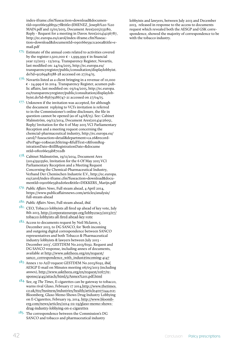index-iframe.cfm?fuseaction=download&documentId=090166e59bb55c7f&title=JIMENEZ\_Joseph%20-%20 MAIN.pdf and 13/01/2015, Document Ares(2015)133180, Reply - Request for a meeting in Davos Ares(2014)4236787, http://ec.europa.eu/carol/index-iframe.cfm?fuseaction=download&documentId=090166e59c1ca0ea&title=email.pdf

- 175. Estimate of the annual costs related to activities covered by the register:1,500,000  $\epsilon$  - 1,999,999  $\epsilon$  in financial year 12/2013 - 12/2014. Transparency Register, Novartis, last modified on: 24/04/2015, http://ec.europa.eu/ transparencyregister/public/consultation/displaylobbyist. do?id=91269481588-28 accessed on 27/04/15.
- $176.$  Novartis listed as a client bringing in a revenue of 10,000 € - 24,999 € in 2014. Transparency Register, acumen public affairs, last modified on: 03/04/2015, http://ec.europa. eu/transparencyregister/public/consultation/displaylobbyist.do?id=85679286747-21 accessed on 27/04/15.
- 177. Unknown if the invitation was accepted, for although the document replying to VCI's invitation is referred to in the Commissioner's online disclosure, the file in question cannot be opened (as of 14/08/15). See: Cabinet Malmström, 09/12/2014, Document Ares(2014)4126051, Reply/ Invitation for the 6 of May 2015 VCI Parliamentary Reception and a meeting request concerning the chemcial-pharmaceutical industry, http://ec.europa.eu/ carol/? fuseaction=detail&department=ca.26&recordsPerPage=10&searchString=&fullText=1&fromRegistrationDate=&tillRegistrationDate=&docume ntId=080166e59b8702db
- 178. Cabinet Malmström, 19/11/2014, Document Ares (2014)3923560, Invitation for the 6 Of May 2015 VCI Parliamentary Reception and a Meeting Request Concerning the Chemical-Pharmaceutical Industry, Verband Der Chemischen Industrie E.V., http://ec.europa. eu/carol/index-iframe.cfm?fuseaction=download&documentId=090166e59b2d06ee&title=DEKKERS\_Marijn.pdf
- <span id="page-41-0"></span>*179. Public Affairs News*, Full steam ahead, 4 April 2014, https://www.publicaffairsnews.com/articles/analysis/ full-steam-ahead
- <span id="page-41-1"></span>*180. Public Affairs News*, Full steam ahead, *ibid.*
- <span id="page-41-2"></span>181. CEO, Tobacco lobbyists all fired up ahead of key vote, July 8th 2013, [http://corporateeurope.org/lobbycracy/2013/07/](http://corporateeurope.org/lobbycracy/2013/07/tobacco-lobbyists-all-fired-ahead-key-vote) [tobacco-lobbyists-all-fired-ahead-key-vote](http://corporateeurope.org/lobbycracy/2013/07/tobacco-lobbyists-all-fired-ahead-key-vote)
- <span id="page-41-3"></span>182. Access to documents request by Neil Mclaren, 5 December 2013, to DG SANCO, for 'Both incoming and outgoing digital correspondence between SANCO representatives and both Tobacco & Pharmaceutical industry lobbyists & lawyers between July 2013 - December 2013', GESTDEM No.2013/6192. Request and DG SANCO response, including annex of documents, available at [http://www.asktheeu.org/en/request/](http://www.asktheeu.org/en/request/sanco_correspondence_with_indust#incoming-4147) [sanco\\_correspondence\\_with\\_indust#incoming-4147](http://www.asktheeu.org/en/request/sanco_correspondence_with_indust#incoming-4147)
- <span id="page-41-4"></span>183. Annex 1 to A2D request GESTDEM No.2013/6192*, ibid,*  AESGP E-mail on Minutes meeting 06/05/2013 (including annex), http://www.asktheeu.org/en/request/1067/response/4145/attach/html/5/Annex%201.pdf.html
- <span id="page-41-5"></span>184. See, eg *The Times*, E-cigarettes can be gateway to tobacco, warns rival Glaxo, February 17 2014,[http://www.thetimes.](http://www.thetimes.co.uk/tto/business/industries/health/article4007244.ece) [co.uk/tto/business/industries/health/article4007244.ece](http://www.thetimes.co.uk/tto/business/industries/health/article4007244.ece); Bloomberg, Glaxo Memo Shows Drug Industry Lobbying on E-Cigarettes, February 19, 2014, [http://www.bloomb](http://www.bloomberg.com/news/articles/2014-02-19/glaxo-memo-shows-drug-industry-lobbying-on-e-cigarettes)[erg.com/news/articles/2014-02-19/glaxo-memo-shows](http://www.bloomberg.com/news/articles/2014-02-19/glaxo-memo-shows-drug-industry-lobbying-on-e-cigarettes)[drug-industry-lobbying-on-e-cigarettes](http://www.bloomberg.com/news/articles/2014-02-19/glaxo-memo-shows-drug-industry-lobbying-on-e-cigarettes)
- <span id="page-41-6"></span><sup>185</sup>. The correspondence between the Commission's DG SANCO and tobacco and pharmaceutical industry

lobbyists and lawyers, between July 2013 and December 2013, released in response to the access to documents request which revealed both the AESGP and GSK correspondence, showed the majority of correspondence to be with the tobacco industry.